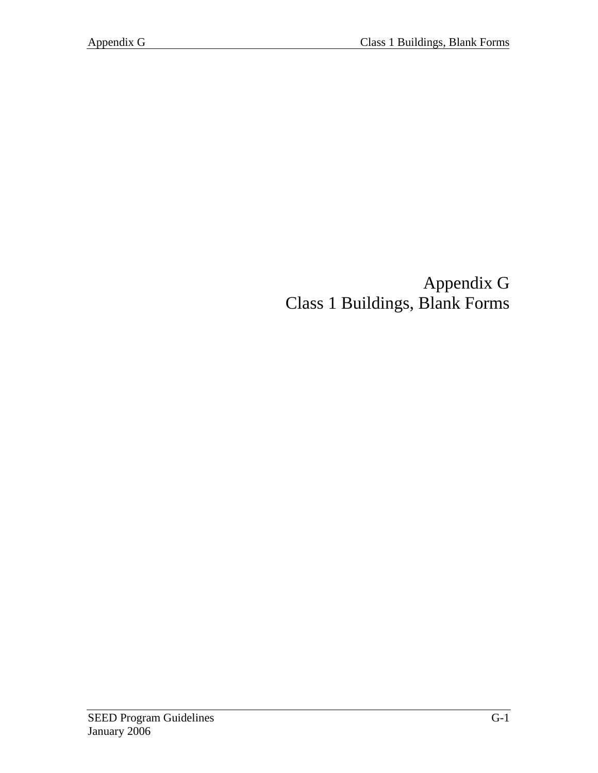# Appendix G Class 1 Buildings, Blank Forms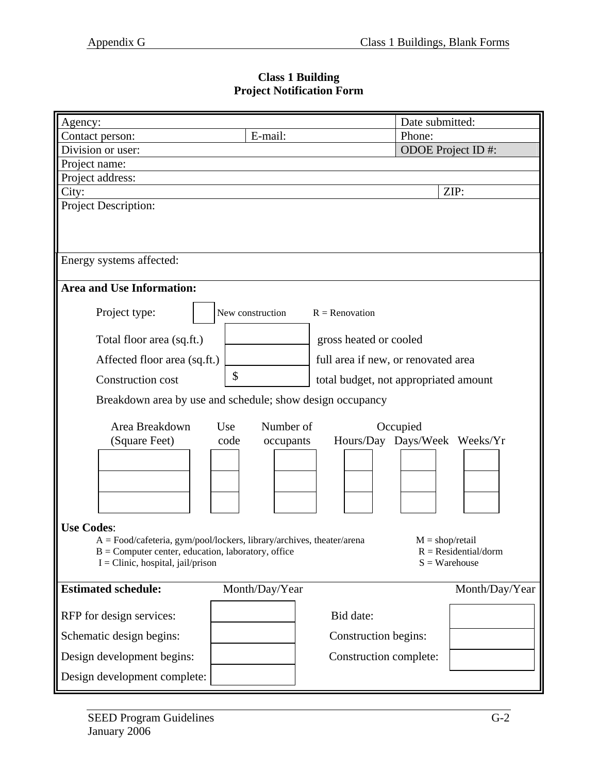### **Class 1 Building Project Notification Form**

| Agency:                                                               |                   |                                       | Date submitted:   |                                          |
|-----------------------------------------------------------------------|-------------------|---------------------------------------|-------------------|------------------------------------------|
| Contact person:                                                       | E-mail:           |                                       | Phone:            |                                          |
| Division or user:                                                     |                   |                                       |                   | ODOE Project ID#:                        |
| Project name:                                                         |                   |                                       |                   |                                          |
| Project address:                                                      |                   |                                       |                   |                                          |
| City:                                                                 |                   |                                       |                   | ZIP:                                     |
| Project Description:                                                  |                   |                                       |                   |                                          |
|                                                                       |                   |                                       |                   |                                          |
|                                                                       |                   |                                       |                   |                                          |
|                                                                       |                   |                                       |                   |                                          |
| Energy systems affected:                                              |                   |                                       |                   |                                          |
| <b>Area and Use Information:</b>                                      |                   |                                       |                   |                                          |
|                                                                       |                   |                                       |                   |                                          |
| Project type:                                                         | New construction  | $R =$ Renovation                      |                   |                                          |
|                                                                       |                   |                                       |                   |                                          |
| Total floor area (sq.ft.)                                             |                   | gross heated or cooled                |                   |                                          |
| Affected floor area (sq.ft.)                                          |                   | full area if new, or renovated area   |                   |                                          |
| Construction cost                                                     | \$                | total budget, not appropriated amount |                   |                                          |
| Breakdown area by use and schedule; show design occupancy             |                   |                                       |                   |                                          |
|                                                                       |                   |                                       |                   |                                          |
| Area Breakdown<br>Use                                                 | Number of         |                                       | Occupied          |                                          |
| (Square Feet)                                                         | code<br>occupants | Hours/Day Days/Week Weeks/Yr          |                   |                                          |
|                                                                       |                   |                                       |                   |                                          |
|                                                                       |                   |                                       |                   |                                          |
|                                                                       |                   |                                       |                   |                                          |
|                                                                       |                   |                                       |                   |                                          |
|                                                                       |                   |                                       |                   |                                          |
| <b>Use Codes:</b>                                                     |                   |                                       |                   |                                          |
| $A = Food/cafeteria, gym/pool/locks, library/archives, theater/arena$ |                   |                                       | $M = shop/retail$ |                                          |
| $B =$ Computer center, education, laboratory, office                  |                   |                                       |                   | $R = Residental/dorm$<br>$S =$ Warehouse |
| $I =$ Clinic, hospital, jail/prison                                   |                   |                                       |                   |                                          |
| <b>Estimated schedule:</b>                                            | Month/Day/Year    |                                       |                   | Month/Day/Year                           |
|                                                                       |                   |                                       |                   |                                          |
| RFP for design services:                                              |                   | Bid date:                             |                   |                                          |
| Schematic design begins:                                              |                   | Construction begins:                  |                   |                                          |
| Design development begins:                                            |                   | Construction complete:                |                   |                                          |
| Design development complete:                                          |                   |                                       |                   |                                          |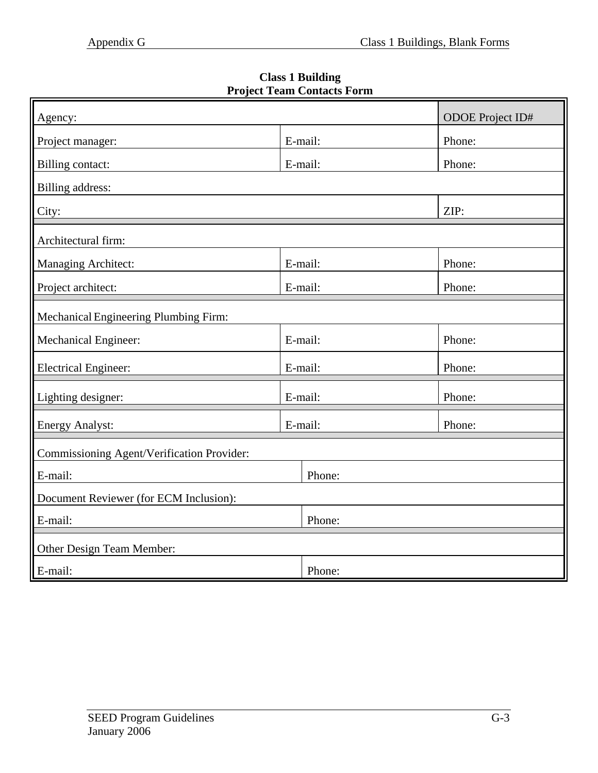**Class 1 Building Project Team Contacts Form** 

| Agency:                                    |         | <b>ODOE</b> Project ID# |  |  |  |
|--------------------------------------------|---------|-------------------------|--|--|--|
| Project manager:                           | E-mail: | Phone:                  |  |  |  |
| <b>Billing contact:</b>                    | E-mail: | Phone:                  |  |  |  |
|                                            |         |                         |  |  |  |
| Billing address:                           |         |                         |  |  |  |
| City:                                      |         | ZIP:                    |  |  |  |
| Architectural firm:                        |         |                         |  |  |  |
| Managing Architect:                        | E-mail: | Phone:                  |  |  |  |
| Project architect:                         | E-mail: | Phone:                  |  |  |  |
| Mechanical Engineering Plumbing Firm:      |         |                         |  |  |  |
| <b>Mechanical Engineer:</b>                | E-mail: | Phone:                  |  |  |  |
| <b>Electrical Engineer:</b>                | E-mail: | Phone:                  |  |  |  |
| Lighting designer:                         | E-mail: | Phone:                  |  |  |  |
| <b>Energy Analyst:</b>                     | E-mail: | Phone:                  |  |  |  |
| Commissioning Agent/Verification Provider: |         |                         |  |  |  |
| E-mail:                                    | Phone:  |                         |  |  |  |
| Document Reviewer (for ECM Inclusion):     |         |                         |  |  |  |
| E-mail:                                    | Phone:  |                         |  |  |  |
| Other Design Team Member:                  |         |                         |  |  |  |
| E-mail:                                    | Phone:  |                         |  |  |  |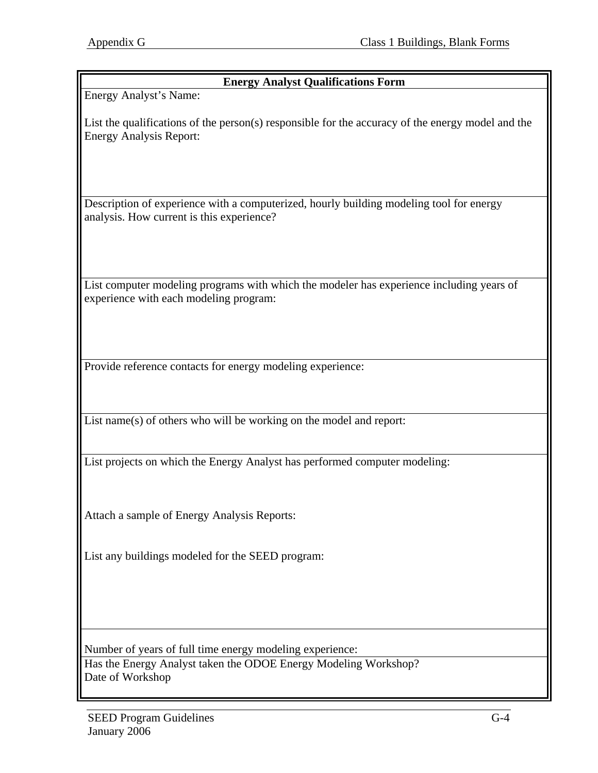| <b>Energy Analyst Qualifications Form</b>                                                                                                       |
|-------------------------------------------------------------------------------------------------------------------------------------------------|
| Energy Analyst's Name:                                                                                                                          |
| List the qualifications of the person(s) responsible for the accuracy of the energy model and the<br><b>Energy Analysis Report:</b>             |
| Description of experience with a computerized, hourly building modeling tool for energy<br>analysis. How current is this experience?            |
| List computer modeling programs with which the modeler has experience including years of<br>experience with each modeling program:              |
| Provide reference contacts for energy modeling experience:                                                                                      |
| List name(s) of others who will be working on the model and report:                                                                             |
| List projects on which the Energy Analyst has performed computer modeling:                                                                      |
| Attach a sample of Energy Analysis Reports:                                                                                                     |
| List any buildings modeled for the SEED program:                                                                                                |
| Number of years of full time energy modeling experience:<br>Has the Energy Analyst taken the ODOE Energy Modeling Workshop?<br>Date of Workshop |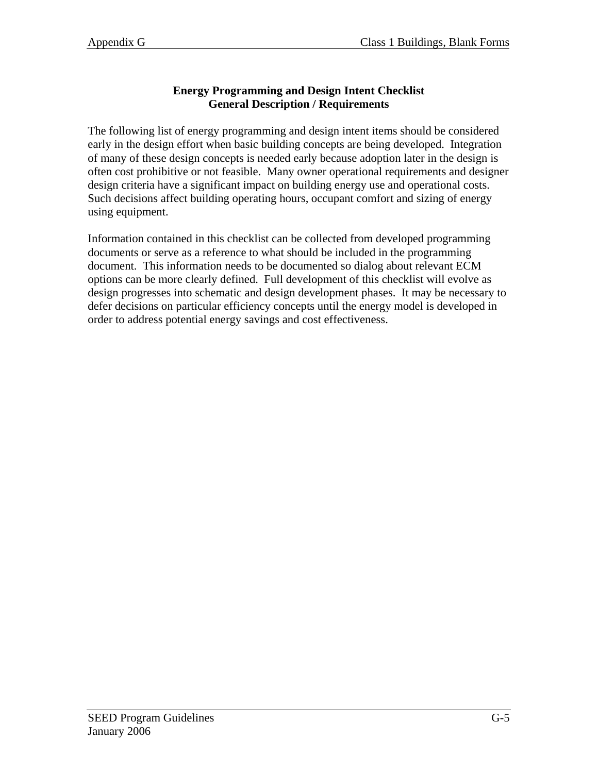#### **Energy Programming and Design Intent Checklist General Description / Requirements**

The following list of energy programming and design intent items should be considered early in the design effort when basic building concepts are being developed. Integration of many of these design concepts is needed early because adoption later in the design is often cost prohibitive or not feasible. Many owner operational requirements and designer design criteria have a significant impact on building energy use and operational costs. Such decisions affect building operating hours, occupant comfort and sizing of energy using equipment.

Information contained in this checklist can be collected from developed programming documents or serve as a reference to what should be included in the programming document. This information needs to be documented so dialog about relevant ECM options can be more clearly defined. Full development of this checklist will evolve as design progresses into schematic and design development phases. It may be necessary to defer decisions on particular efficiency concepts until the energy model is developed in order to address potential energy savings and cost effectiveness.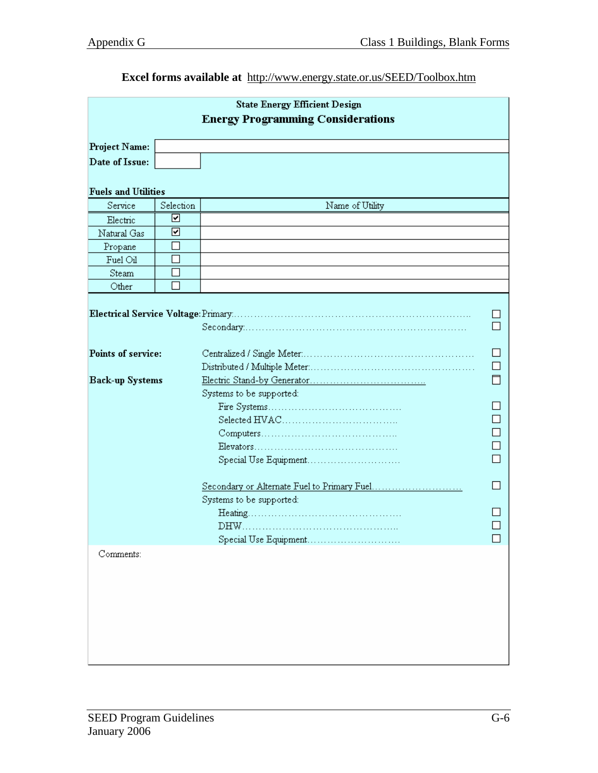### **Excel forms available at** http://www.energy.state.or.us/SEED/Toolbox.htm

| <b>State Energy Efficient Design</b><br><b>Energy Programming Considerations</b> |           |                                                                                                                |  |  |  |  |
|----------------------------------------------------------------------------------|-----------|----------------------------------------------------------------------------------------------------------------|--|--|--|--|
| <b>Project Name:</b>                                                             |           |                                                                                                                |  |  |  |  |
| Date of Issue:                                                                   |           |                                                                                                                |  |  |  |  |
|                                                                                  |           |                                                                                                                |  |  |  |  |
| <b>Fuels and Utilities</b>                                                       |           |                                                                                                                |  |  |  |  |
| Service                                                                          | Selection | Name of Utility                                                                                                |  |  |  |  |
| Electric                                                                         | ∇         |                                                                                                                |  |  |  |  |
| Natural Gas                                                                      | ☑         |                                                                                                                |  |  |  |  |
| Propane                                                                          |           |                                                                                                                |  |  |  |  |
| Fuel Oil                                                                         |           |                                                                                                                |  |  |  |  |
| <b>Steam</b>                                                                     |           |                                                                                                                |  |  |  |  |
| Other                                                                            |           |                                                                                                                |  |  |  |  |
| Points of service:<br><b>Back-up Systems</b>                                     |           | Systems to be supported:<br>Special Use Equipment<br>Systems to be supported:<br>DHW.<br>Special Use Equipment |  |  |  |  |
| Comments:                                                                        |           |                                                                                                                |  |  |  |  |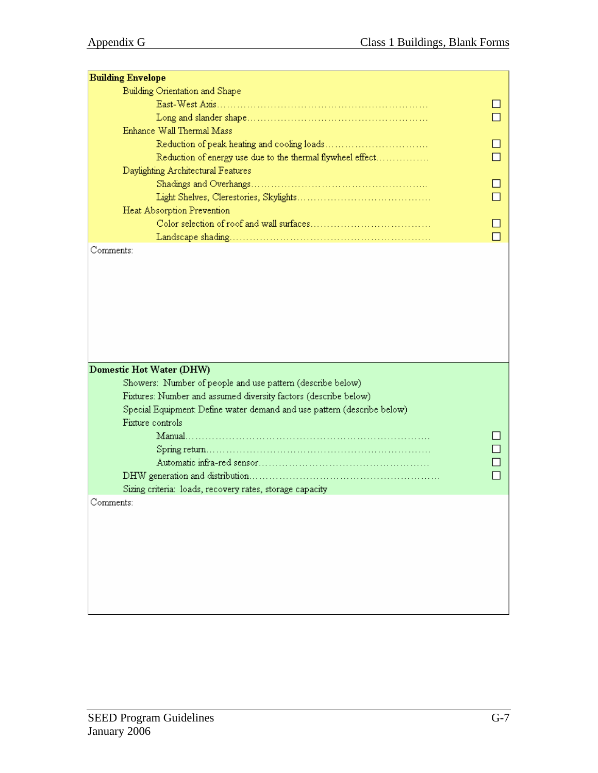| <b>Building Envelope</b>                                                |        |
|-------------------------------------------------------------------------|--------|
| Building Orientation and Shape                                          |        |
|                                                                         |        |
|                                                                         |        |
| Enhance Wall Thermal Mass                                               |        |
|                                                                         |        |
| Reduction of energy use due to the thermal flywheel effect              |        |
| Daylighting Architectural Features                                      |        |
|                                                                         | $\Box$ |
|                                                                         |        |
| Heat Absorption Prevention                                              |        |
|                                                                         |        |
|                                                                         |        |
| Comments:                                                               |        |
|                                                                         |        |
|                                                                         |        |
|                                                                         |        |
|                                                                         |        |
|                                                                         |        |
|                                                                         |        |
|                                                                         |        |
|                                                                         |        |
|                                                                         |        |
| Domestic Hot Water (DHW)                                                |        |
| Showers: Number of people and use pattern (describe below)              |        |
| Fixtures: Number and assumed diversity factors (describe below)         |        |
| Special Equipment: Define water demand and use pattern (describe below) |        |
| Fixture controls                                                        |        |
|                                                                         |        |
|                                                                         |        |
|                                                                         |        |
|                                                                         |        |
| Sizing criteria: loads, recovery rates, storage capacity                |        |
| Comments:                                                               |        |
|                                                                         |        |
|                                                                         |        |
|                                                                         |        |
|                                                                         |        |
|                                                                         |        |
|                                                                         |        |
|                                                                         |        |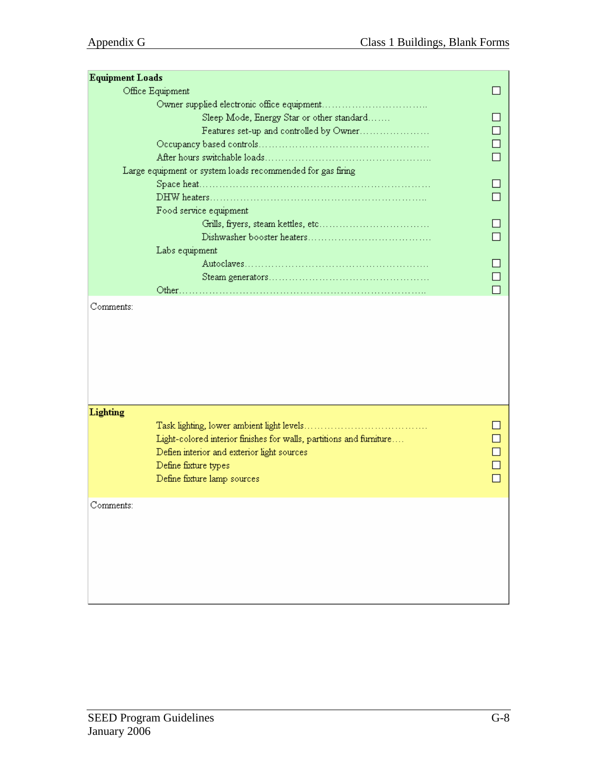| <b>Equipment Loads</b> |                                                                     |  |
|------------------------|---------------------------------------------------------------------|--|
| Office Equipment       |                                                                     |  |
|                        |                                                                     |  |
|                        | Sleep Mode, Energy Star or other standard                           |  |
|                        | Features set-up and controlled by Owner                             |  |
|                        |                                                                     |  |
|                        |                                                                     |  |
|                        | Large equipment or system loads recommended for gas firing          |  |
|                        |                                                                     |  |
|                        |                                                                     |  |
|                        | Food service equipment                                              |  |
|                        |                                                                     |  |
|                        |                                                                     |  |
|                        | Labs equipment                                                      |  |
|                        |                                                                     |  |
|                        |                                                                     |  |
|                        |                                                                     |  |
|                        |                                                                     |  |
| Lighting               |                                                                     |  |
|                        |                                                                     |  |
|                        | Light-colored interior finishes for walls, partitions and furniture |  |
|                        | Defien interior and exterior light sources                          |  |
|                        | Define fixture types                                                |  |
|                        | Define fixture lamp sources                                         |  |
|                        |                                                                     |  |
| Comments:              |                                                                     |  |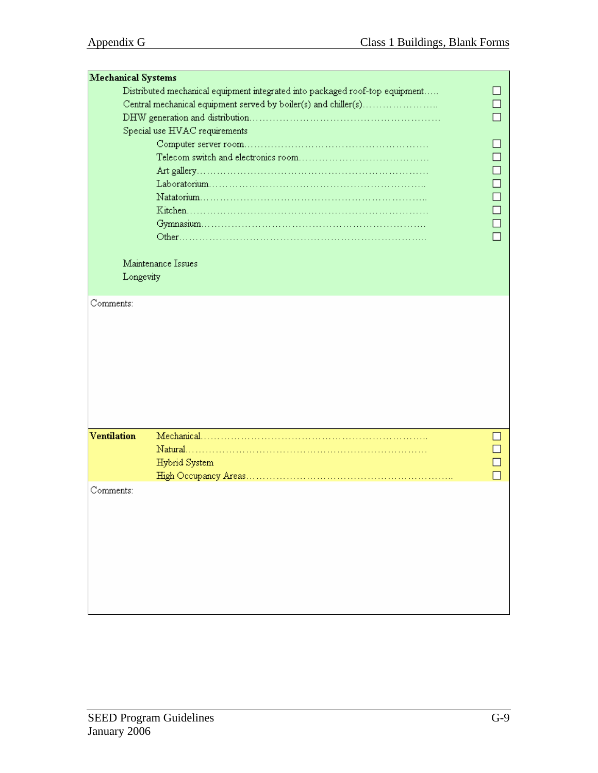| <b>Mechanical Systems</b> |                                                                              |  |
|---------------------------|------------------------------------------------------------------------------|--|
|                           | Distributed mechanical equipment integrated into packaged roof-top equipment |  |
|                           | Central mechanical equipment served by boiler(s) and chiller(s)              |  |
|                           |                                                                              |  |
|                           | Special use HVAC requirements                                                |  |
|                           |                                                                              |  |
|                           |                                                                              |  |
|                           |                                                                              |  |
|                           |                                                                              |  |
|                           |                                                                              |  |
|                           |                                                                              |  |
|                           |                                                                              |  |
|                           |                                                                              |  |
|                           |                                                                              |  |
|                           | Maintenance Issues                                                           |  |
| Longevity                 |                                                                              |  |
|                           |                                                                              |  |
| Comments:                 |                                                                              |  |
|                           |                                                                              |  |
|                           |                                                                              |  |
|                           |                                                                              |  |
|                           |                                                                              |  |
|                           |                                                                              |  |
|                           |                                                                              |  |
|                           |                                                                              |  |
|                           |                                                                              |  |
|                           |                                                                              |  |
| <b>Ventilation</b>        |                                                                              |  |
|                           |                                                                              |  |
|                           | Hybrid System                                                                |  |
|                           |                                                                              |  |
| Comments:                 |                                                                              |  |
|                           |                                                                              |  |
|                           |                                                                              |  |
|                           |                                                                              |  |
|                           |                                                                              |  |
|                           |                                                                              |  |
|                           |                                                                              |  |
|                           |                                                                              |  |
|                           |                                                                              |  |
|                           |                                                                              |  |
|                           |                                                                              |  |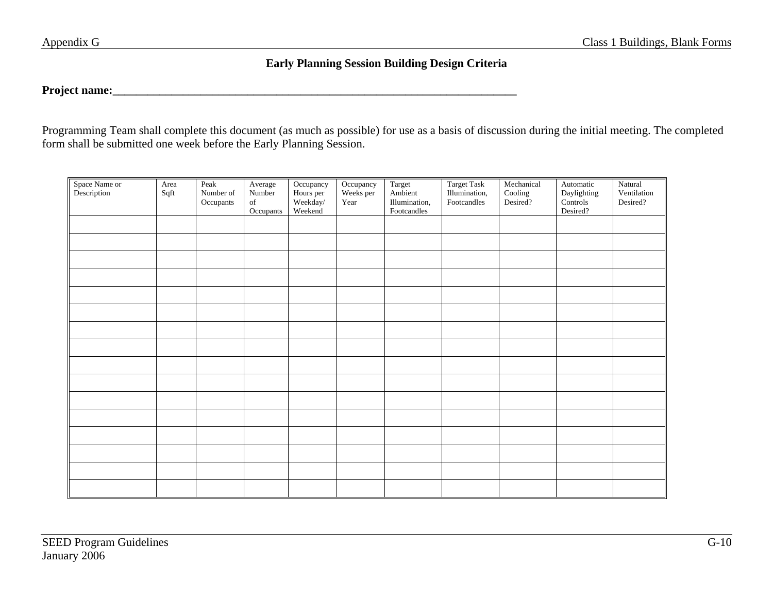### **Early Planning Session Building Design Criteria**

# **Project name:\_\_\_\_\_\_\_\_\_\_\_\_\_\_\_\_\_\_\_\_\_\_\_\_\_\_\_\_\_\_\_\_\_\_\_\_\_\_\_\_\_\_\_\_\_\_\_\_\_\_\_\_\_\_\_\_\_\_\_\_\_\_\_\_\_\_\_\_\_**

Programming Team shall complete this document (as much as possible) for use as a basis of discussion during the initial meeting. The completed form shall be submitted one week before the Early Planning Session.

| Space Name or<br>Description | Area<br>Sqft | Peak<br>Number of<br>Occupants | Average<br>Number<br>of<br>Occupants | Occupancy<br>Hours per<br>Weekday/<br>Weekend | Occupancy<br>Weeks per<br>Year | Target<br>Ambient<br>Illumination,<br>Footcandles | Target Task<br>Illumination,<br>Footcandles | Mechanical<br>Cooling<br>Desired? | Automatic<br>Daylighting<br>Controls<br>Desired? | Natural<br>Ventilation<br>Desired? |
|------------------------------|--------------|--------------------------------|--------------------------------------|-----------------------------------------------|--------------------------------|---------------------------------------------------|---------------------------------------------|-----------------------------------|--------------------------------------------------|------------------------------------|
|                              |              |                                |                                      |                                               |                                |                                                   |                                             |                                   |                                                  |                                    |
|                              |              |                                |                                      |                                               |                                |                                                   |                                             |                                   |                                                  |                                    |
|                              |              |                                |                                      |                                               |                                |                                                   |                                             |                                   |                                                  |                                    |
|                              |              |                                |                                      |                                               |                                |                                                   |                                             |                                   |                                                  |                                    |
|                              |              |                                |                                      |                                               |                                |                                                   |                                             |                                   |                                                  |                                    |
|                              |              |                                |                                      |                                               |                                |                                                   |                                             |                                   |                                                  |                                    |
|                              |              |                                |                                      |                                               |                                |                                                   |                                             |                                   |                                                  |                                    |
|                              |              |                                |                                      |                                               |                                |                                                   |                                             |                                   |                                                  |                                    |
|                              |              |                                |                                      |                                               |                                |                                                   |                                             |                                   |                                                  |                                    |
|                              |              |                                |                                      |                                               |                                |                                                   |                                             |                                   |                                                  |                                    |
|                              |              |                                |                                      |                                               |                                |                                                   |                                             |                                   |                                                  |                                    |
|                              |              |                                |                                      |                                               |                                |                                                   |                                             |                                   |                                                  |                                    |
|                              |              |                                |                                      |                                               |                                |                                                   |                                             |                                   |                                                  |                                    |
|                              |              |                                |                                      |                                               |                                |                                                   |                                             |                                   |                                                  |                                    |
|                              |              |                                |                                      |                                               |                                |                                                   |                                             |                                   |                                                  |                                    |
|                              |              |                                |                                      |                                               |                                |                                                   |                                             |                                   |                                                  |                                    |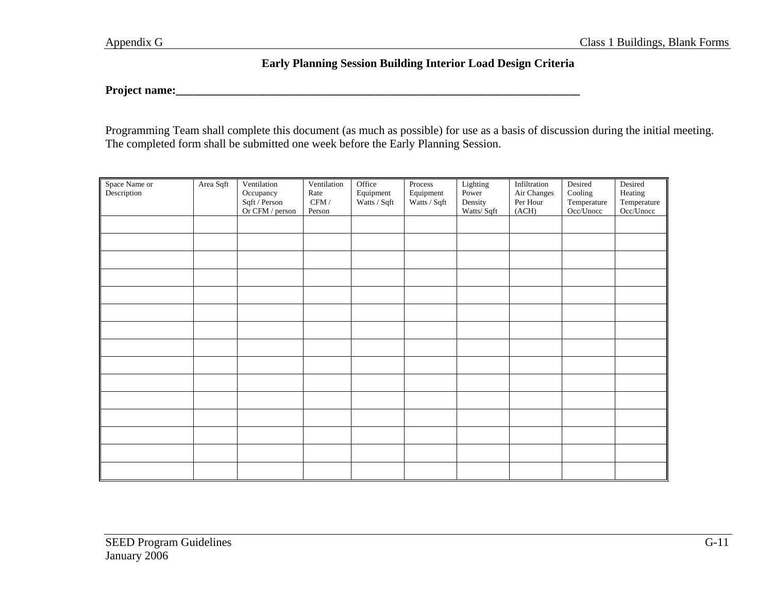#### **Early Planning Session Building Interior Load Design Criteria**

## **Project name:\_\_\_\_\_\_\_\_\_\_\_\_\_\_\_\_\_\_\_\_\_\_\_\_\_\_\_\_\_\_\_\_\_\_\_\_\_\_\_\_\_\_\_\_\_\_\_\_\_\_\_\_\_\_\_\_\_\_\_\_\_\_\_\_\_\_\_\_\_**

Programming Team shall complete this document (as much as possible) for use as a basis of discussion during the initial meeting. The completed form shall be submitted one week before the Early Planning Session.

| Space Name or<br>Description | Area Sqft | Ventilation<br>Occupancy<br>Sqft / Person<br>Or CFM / person | Ventilation<br>Rate<br>$\mbox{CFM}\,/\,$<br>Person | Office<br>Equipment<br>Watts / Sqft | Process<br>Equipment<br>Watts / Sqft | Lighting<br>Power<br>Density<br>Watts/Sqft | Infiltration<br>Air Changes<br>Per Hour<br>(ACH) | Desired<br>Cooling<br>Temperature<br>Occ/Unocc | Desired<br>Heating<br>Temperature<br>$Occ/$ Unocc |
|------------------------------|-----------|--------------------------------------------------------------|----------------------------------------------------|-------------------------------------|--------------------------------------|--------------------------------------------|--------------------------------------------------|------------------------------------------------|---------------------------------------------------|
|                              |           |                                                              |                                                    |                                     |                                      |                                            |                                                  |                                                |                                                   |
|                              |           |                                                              |                                                    |                                     |                                      |                                            |                                                  |                                                |                                                   |
|                              |           |                                                              |                                                    |                                     |                                      |                                            |                                                  |                                                |                                                   |
|                              |           |                                                              |                                                    |                                     |                                      |                                            |                                                  |                                                |                                                   |
|                              |           |                                                              |                                                    |                                     |                                      |                                            |                                                  |                                                |                                                   |
|                              |           |                                                              |                                                    |                                     |                                      |                                            |                                                  |                                                |                                                   |
|                              |           |                                                              |                                                    |                                     |                                      |                                            |                                                  |                                                |                                                   |
|                              |           |                                                              |                                                    |                                     |                                      |                                            |                                                  |                                                |                                                   |
|                              |           |                                                              |                                                    |                                     |                                      |                                            |                                                  |                                                |                                                   |
|                              |           |                                                              |                                                    |                                     |                                      |                                            |                                                  |                                                |                                                   |
|                              |           |                                                              |                                                    |                                     |                                      |                                            |                                                  |                                                |                                                   |
|                              |           |                                                              |                                                    |                                     |                                      |                                            |                                                  |                                                |                                                   |
|                              |           |                                                              |                                                    |                                     |                                      |                                            |                                                  |                                                |                                                   |
|                              |           |                                                              |                                                    |                                     |                                      |                                            |                                                  |                                                |                                                   |
|                              |           |                                                              |                                                    |                                     |                                      |                                            |                                                  |                                                |                                                   |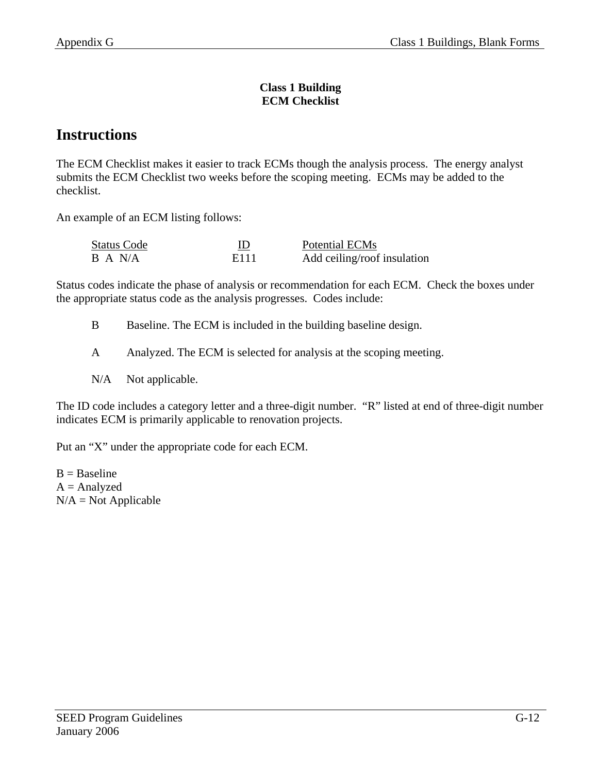#### **Class 1 Building ECM Checklist**

# **Instructions**

The ECM Checklist makes it easier to track ECMs though the analysis process. The energy analyst submits the ECM Checklist two weeks before the scoping meeting. ECMs may be added to the checklist.

An example of an ECM listing follows:

| <b>Status Code</b> |      | Potential ECMs              |
|--------------------|------|-----------------------------|
| B A N/A            | E111 | Add ceiling/roof insulation |

Status codes indicate the phase of analysis or recommendation for each ECM. Check the boxes under the appropriate status code as the analysis progresses. Codes include:

B Baseline. The ECM is included in the building baseline design.

A Analyzed. The ECM is selected for analysis at the scoping meeting.

N/A Not applicable.

The ID code includes a category letter and a three-digit number. "R" listed at end of three-digit number indicates ECM is primarily applicable to renovation projects.

Put an "X" under the appropriate code for each ECM.

 $B = Baseline$  $A =$ Analyzed  $N/A = Not$  Applicable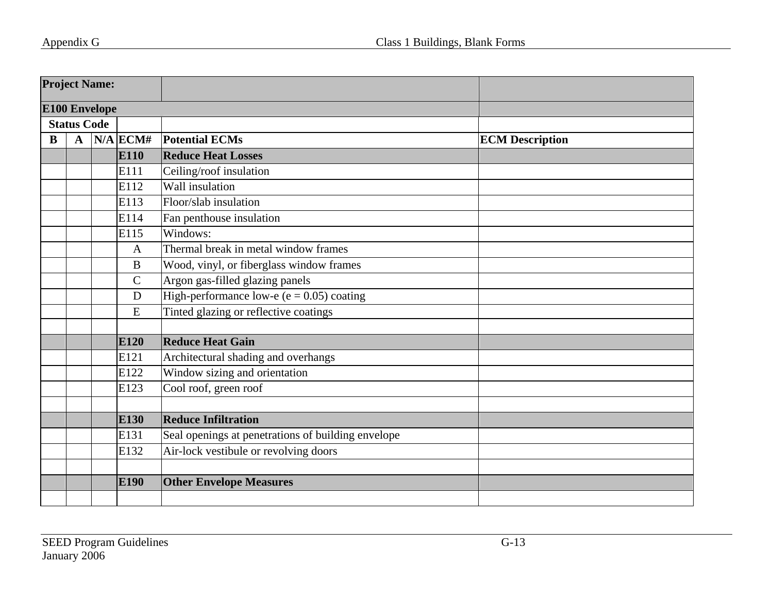| <b>Project Name:</b> |                    |                      |              |                                                    |                        |
|----------------------|--------------------|----------------------|--------------|----------------------------------------------------|------------------------|
|                      |                    | <b>E100 Envelope</b> |              |                                                    |                        |
|                      | <b>Status Code</b> |                      |              |                                                    |                        |
| B                    | $\mathbf{A}$       |                      | $N/A$ ECM#   | <b>Potential ECMs</b>                              | <b>ECM Description</b> |
|                      |                    |                      | E110         | <b>Reduce Heat Losses</b>                          |                        |
|                      |                    |                      | E111         | Ceiling/roof insulation                            |                        |
|                      |                    |                      | E112         | Wall insulation                                    |                        |
|                      |                    |                      | E113         | Floor/slab insulation                              |                        |
|                      |                    |                      | E114         | Fan penthouse insulation                           |                        |
|                      |                    |                      | E115         | Windows:                                           |                        |
|                      |                    |                      | $\mathbf{A}$ | Thermal break in metal window frames               |                        |
|                      |                    |                      | $\bf{B}$     | Wood, vinyl, or fiberglass window frames           |                        |
|                      |                    |                      | $\mathbf C$  | Argon gas-filled glazing panels                    |                        |
|                      |                    |                      | $\mathbf D$  | High-performance low-e ( $e = 0.05$ ) coating      |                        |
|                      |                    |                      | E            | Tinted glazing or reflective coatings              |                        |
|                      |                    |                      |              |                                                    |                        |
|                      |                    |                      | E120         | <b>Reduce Heat Gain</b>                            |                        |
|                      |                    |                      | E121         | Architectural shading and overhangs                |                        |
|                      |                    |                      | E122         | Window sizing and orientation                      |                        |
|                      |                    |                      | E123         | Cool roof, green roof                              |                        |
|                      |                    |                      |              |                                                    |                        |
|                      |                    |                      | E130         | <b>Reduce Infiltration</b>                         |                        |
|                      |                    |                      | E131         | Seal openings at penetrations of building envelope |                        |
|                      |                    |                      | E132         | Air-lock vestibule or revolving doors              |                        |
|                      |                    |                      |              |                                                    |                        |
|                      |                    |                      | E190         | <b>Other Envelope Measures</b>                     |                        |
|                      |                    |                      |              |                                                    |                        |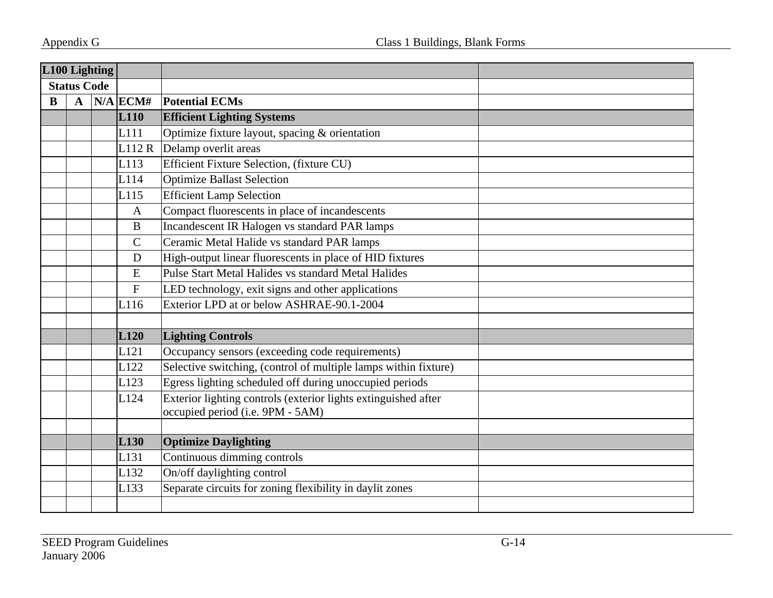|          | L100 Lighting      |  |                  |                                                                 |
|----------|--------------------|--|------------------|-----------------------------------------------------------------|
|          | <b>Status Code</b> |  |                  |                                                                 |
| $\bf{B}$ | $\mathbf{A}$       |  | $N/A$ ECM#       | <b>Potential ECMs</b>                                           |
|          |                    |  | <b>L110</b>      | <b>Efficient Lighting Systems</b>                               |
|          |                    |  | L <sub>111</sub> | Optimize fixture layout, spacing & orientation                  |
|          |                    |  | L112 R           | Delamp overlit areas                                            |
|          |                    |  | L113             | Efficient Fixture Selection, (fixture CU)                       |
|          |                    |  | L114             | Optimize Ballast Selection                                      |
|          |                    |  | L115             | <b>Efficient Lamp Selection</b>                                 |
|          |                    |  | $\mathbf{A}$     | Compact fluorescents in place of incandescents                  |
|          |                    |  | $\bf{B}$         | Incandescent IR Halogen vs standard PAR lamps                   |
|          |                    |  | $\mathbf C$      | Ceramic Metal Halide vs standard PAR lamps                      |
|          |                    |  | D                | High-output linear fluorescents in place of HID fixtures        |
|          |                    |  | E                | Pulse Start Metal Halides vs standard Metal Halides             |
|          |                    |  | $\mathbf{F}$     | LED technology, exit signs and other applications               |
|          |                    |  | L116             | Exterior LPD at or below ASHRAE-90.1-2004                       |
|          |                    |  |                  |                                                                 |
|          |                    |  | L120             | <b>Lighting Controls</b>                                        |
|          |                    |  | L <sub>121</sub> | Occupancy sensors (exceeding code requirements)                 |
|          |                    |  | L122             | Selective switching, (control of multiple lamps within fixture) |
|          |                    |  | L123             | Egress lighting scheduled off during unoccupied periods         |
|          |                    |  | L124             | Exterior lighting controls (exterior lights extinguished after  |
|          |                    |  |                  | occupied period (i.e. 9PM - 5AM)                                |
|          |                    |  |                  |                                                                 |
|          |                    |  | L <sub>130</sub> | <b>Optimize Daylighting</b>                                     |
|          |                    |  | L <sub>131</sub> | Continuous dimming controls                                     |
|          |                    |  | L132             | On/off daylighting control                                      |
|          |                    |  | L133             | Separate circuits for zoning flexibility in daylit zones        |
|          |                    |  |                  |                                                                 |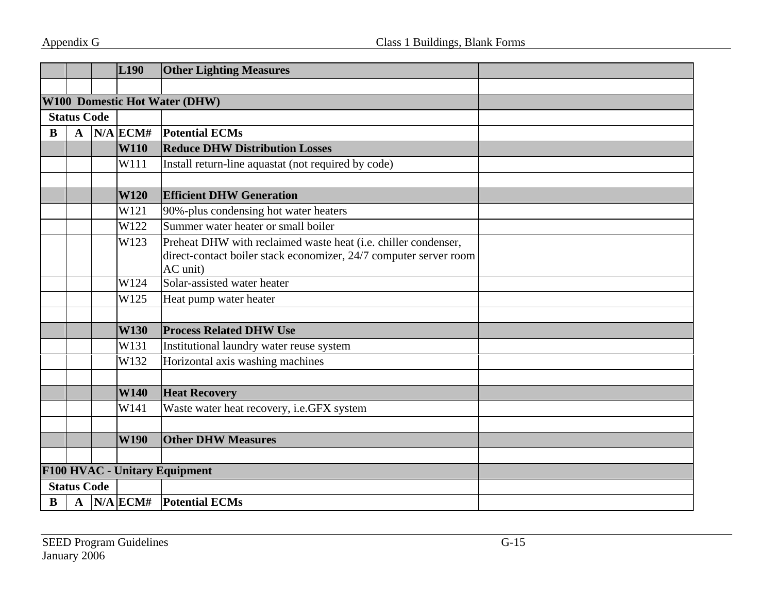|   |                    | L190        | <b>Other Lighting Measures</b>                                                                                                                  |  |
|---|--------------------|-------------|-------------------------------------------------------------------------------------------------------------------------------------------------|--|
|   |                    |             |                                                                                                                                                 |  |
|   |                    |             | <b>W100 Domestic Hot Water (DHW)</b>                                                                                                            |  |
|   | <b>Status Code</b> |             |                                                                                                                                                 |  |
| B | $\mathbf{A}$       | $N/A$ ECM#  | <b>Potential ECMs</b>                                                                                                                           |  |
|   |                    | <b>W110</b> | <b>Reduce DHW Distribution Losses</b>                                                                                                           |  |
|   |                    | W111        | Install return-line aquastat (not required by code)                                                                                             |  |
|   |                    |             |                                                                                                                                                 |  |
|   |                    | <b>W120</b> | <b>Efficient DHW Generation</b>                                                                                                                 |  |
|   |                    | W121        | 90%-plus condensing hot water heaters                                                                                                           |  |
|   |                    | W122        | Summer water heater or small boiler                                                                                                             |  |
|   |                    | W123        | Preheat DHW with reclaimed waste heat (i.e. chiller condenser,<br>direct-contact boiler stack economizer, 24/7 computer server room<br>AC unit) |  |
|   |                    | W124        | Solar-assisted water heater                                                                                                                     |  |
|   |                    | W125        | Heat pump water heater                                                                                                                          |  |
|   |                    |             |                                                                                                                                                 |  |
|   |                    | <b>W130</b> | <b>Process Related DHW Use</b>                                                                                                                  |  |
|   |                    | W131        | Institutional laundry water reuse system                                                                                                        |  |
|   |                    | W132        | Horizontal axis washing machines                                                                                                                |  |
|   |                    |             |                                                                                                                                                 |  |
|   |                    | <b>W140</b> | <b>Heat Recovery</b>                                                                                                                            |  |
|   |                    | W141        | Waste water heat recovery, i.e.GFX system                                                                                                       |  |
|   |                    |             |                                                                                                                                                 |  |
|   |                    | <b>W190</b> | <b>Other DHW Measures</b>                                                                                                                       |  |
|   |                    |             |                                                                                                                                                 |  |
|   |                    |             | F100 HVAC - Unitary Equipment                                                                                                                   |  |
|   | <b>Status Code</b> |             |                                                                                                                                                 |  |
| В | $\mathbf{A}$       |             | $N/A$ ECM# Potential ECMs                                                                                                                       |  |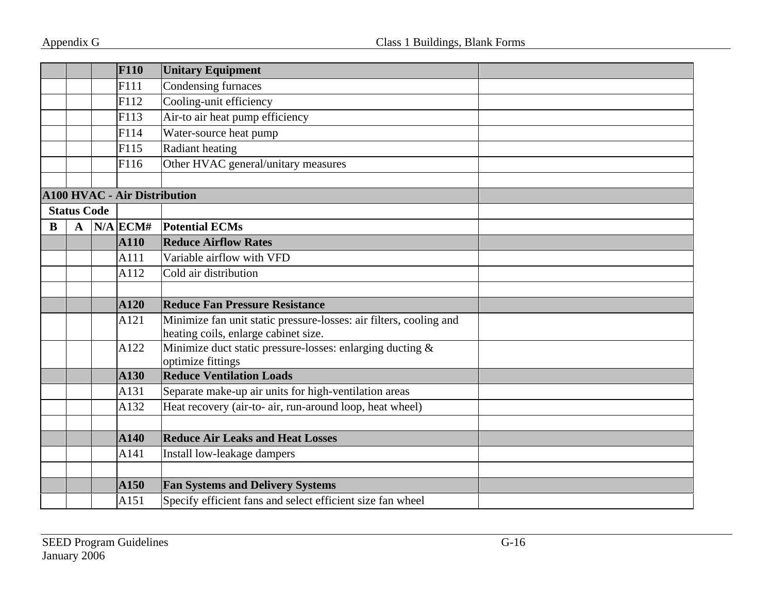|   |                    | <b>F110</b> | <b>Unitary Equipment</b>                                                                                   |  |
|---|--------------------|-------------|------------------------------------------------------------------------------------------------------------|--|
|   |                    | F111        | Condensing furnaces                                                                                        |  |
|   |                    | F112        | Cooling-unit efficiency                                                                                    |  |
|   |                    | F113        | Air-to air heat pump efficiency                                                                            |  |
|   |                    | F114        | Water-source heat pump                                                                                     |  |
|   |                    | F115        | Radiant heating                                                                                            |  |
|   |                    | F116        | Other HVAC general/unitary measures                                                                        |  |
|   |                    |             |                                                                                                            |  |
|   |                    |             | <b>A100 HVAC - Air Distribution</b>                                                                        |  |
|   | <b>Status Code</b> |             |                                                                                                            |  |
| B | $\mathbf{A}$       | $N/A$ ECM#  | <b>Potential ECMs</b>                                                                                      |  |
|   |                    | <b>A110</b> | <b>Reduce Airflow Rates</b>                                                                                |  |
|   |                    | A111        | Variable airflow with VFD                                                                                  |  |
|   |                    | A112        | Cold air distribution                                                                                      |  |
|   |                    |             |                                                                                                            |  |
|   |                    | <b>A120</b> | <b>Reduce Fan Pressure Resistance</b>                                                                      |  |
|   |                    | A121        | Minimize fan unit static pressure-losses: air filters, cooling and<br>heating coils, enlarge cabinet size. |  |
|   |                    | A122        | Minimize duct static pressure-losses: enlarging ducting &<br>optimize fittings                             |  |
|   |                    | <b>A130</b> | <b>Reduce Ventilation Loads</b>                                                                            |  |
|   |                    | A131        | Separate make-up air units for high-ventilation areas                                                      |  |
|   |                    | A132        | Heat recovery (air-to- air, run-around loop, heat wheel)                                                   |  |
|   |                    |             |                                                                                                            |  |
|   |                    | A140        | <b>Reduce Air Leaks and Heat Losses</b>                                                                    |  |
|   |                    | A141        | Install low-leakage dampers                                                                                |  |
|   |                    |             |                                                                                                            |  |
|   |                    | A150        | <b>Fan Systems and Delivery Systems</b>                                                                    |  |
|   |                    | A151        | Specify efficient fans and select efficient size fan wheel                                                 |  |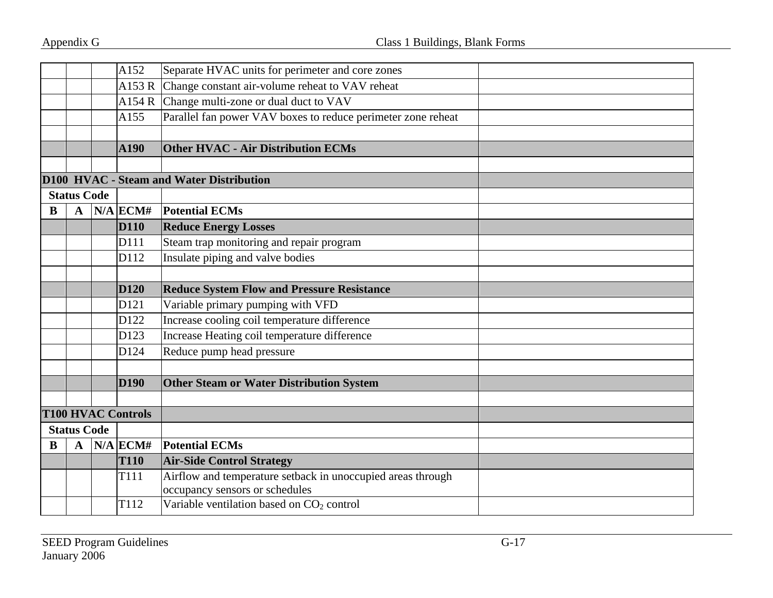|                    |                    |  | A152                      | Separate HVAC units for perimeter and core zones             |  |
|--------------------|--------------------|--|---------------------------|--------------------------------------------------------------|--|
|                    |                    |  | A153R                     | Change constant air-volume reheat to VAV reheat              |  |
|                    |                    |  | A154 R                    | Change multi-zone or dual duct to VAV                        |  |
|                    |                    |  | A155                      | Parallel fan power VAV boxes to reduce perimeter zone reheat |  |
|                    |                    |  |                           |                                                              |  |
|                    |                    |  | A190                      | <b>Other HVAC - Air Distribution ECMs</b>                    |  |
|                    |                    |  |                           |                                                              |  |
|                    |                    |  |                           | D100 HVAC - Steam and Water Distribution                     |  |
|                    | <b>Status Code</b> |  |                           |                                                              |  |
| B                  | $\mathbf{A}$       |  | $N/A$ ECM#                | <b>Potential ECMs</b>                                        |  |
|                    |                    |  | <b>D110</b>               | <b>Reduce Energy Losses</b>                                  |  |
|                    |                    |  | D111                      | Steam trap monitoring and repair program                     |  |
|                    |                    |  | D112                      | Insulate piping and valve bodies                             |  |
|                    |                    |  |                           |                                                              |  |
|                    |                    |  | <b>D120</b>               | <b>Reduce System Flow and Pressure Resistance</b>            |  |
|                    |                    |  | D121                      | Variable primary pumping with VFD                            |  |
|                    |                    |  | D122                      | Increase cooling coil temperature difference                 |  |
|                    |                    |  | D123                      | Increase Heating coil temperature difference                 |  |
|                    |                    |  | D124                      | Reduce pump head pressure                                    |  |
|                    |                    |  |                           |                                                              |  |
|                    |                    |  | <b>D190</b>               | <b>Other Steam or Water Distribution System</b>              |  |
|                    |                    |  |                           |                                                              |  |
|                    |                    |  | <b>T100 HVAC Controls</b> |                                                              |  |
| <b>Status Code</b> |                    |  |                           |                                                              |  |
| B                  | $\mathbf{A}$       |  | $N/A$ ECM#                | <b>Potential ECMs</b>                                        |  |
|                    |                    |  | <b>T110</b>               | <b>Air-Side Control Strategy</b>                             |  |
|                    |                    |  | T111                      | Airflow and temperature setback in unoccupied areas through  |  |
|                    |                    |  |                           | occupancy sensors or schedules                               |  |
|                    |                    |  | T112                      | Variable ventilation based on CO <sub>2</sub> control        |  |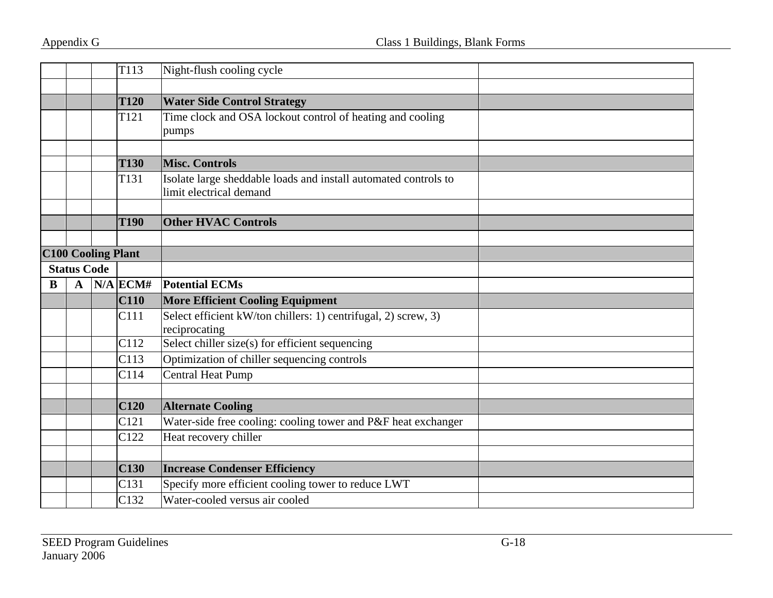|   |                    |                           | T113             | Night-flush cooling cycle                                                                  |  |
|---|--------------------|---------------------------|------------------|--------------------------------------------------------------------------------------------|--|
|   |                    |                           |                  |                                                                                            |  |
|   |                    |                           | <b>T120</b>      | <b>Water Side Control Strategy</b>                                                         |  |
|   |                    |                           | T <sub>121</sub> | Time clock and OSA lockout control of heating and cooling<br>pumps                         |  |
|   |                    |                           |                  |                                                                                            |  |
|   |                    |                           | <b>T130</b>      | <b>Misc. Controls</b>                                                                      |  |
|   |                    |                           | T <sub>131</sub> | Isolate large sheddable loads and install automated controls to<br>limit electrical demand |  |
|   |                    |                           |                  |                                                                                            |  |
|   |                    |                           | <b>T190</b>      | <b>Other HVAC Controls</b>                                                                 |  |
|   |                    |                           |                  |                                                                                            |  |
|   |                    | <b>C100 Cooling Plant</b> |                  |                                                                                            |  |
|   | <b>Status Code</b> |                           |                  |                                                                                            |  |
| B | $\mathbf A$        |                           | $N/A$ ECM#       | <b>Potential ECMs</b>                                                                      |  |
|   |                    |                           | C110             | <b>More Efficient Cooling Equipment</b>                                                    |  |
|   |                    |                           | C111             | Select efficient kW/ton chillers: 1) centrifugal, 2) screw, 3)<br>reciprocating            |  |
|   |                    |                           | C112             | Select chiller size(s) for efficient sequencing                                            |  |
|   |                    |                           | C113             | Optimization of chiller sequencing controls                                                |  |
|   |                    |                           | C114             | <b>Central Heat Pump</b>                                                                   |  |
|   |                    |                           |                  |                                                                                            |  |
|   |                    |                           | C120             | <b>Alternate Cooling</b>                                                                   |  |
|   |                    |                           | C <sub>121</sub> | Water-side free cooling: cooling tower and P&F heat exchanger                              |  |
|   |                    |                           | C122             | Heat recovery chiller                                                                      |  |
|   |                    |                           |                  |                                                                                            |  |
|   |                    |                           | C130             | <b>Increase Condenser Efficiency</b>                                                       |  |
|   |                    |                           | C131             | Specify more efficient cooling tower to reduce LWT                                         |  |
|   |                    |                           | C132             | Water-cooled versus air cooled                                                             |  |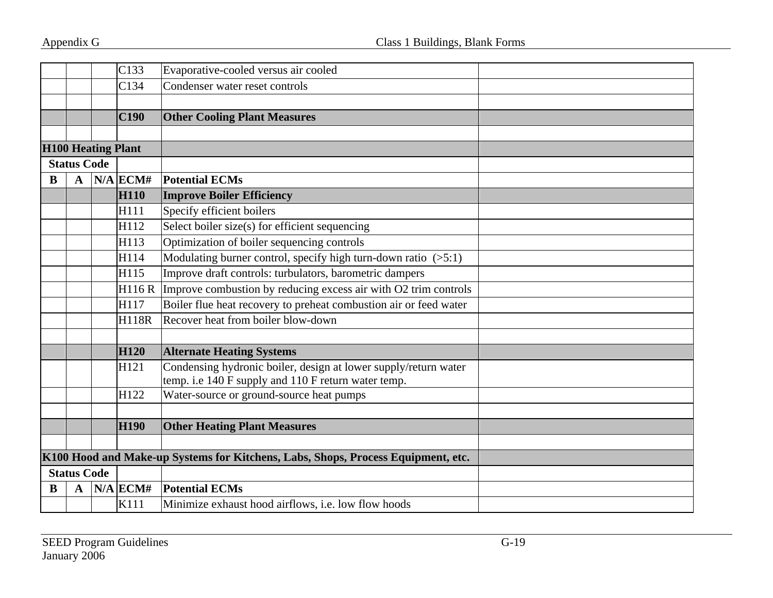|   |                    | C133                      | Evaporative-cooled versus air cooled                                                                                   |  |
|---|--------------------|---------------------------|------------------------------------------------------------------------------------------------------------------------|--|
|   |                    | C134                      | Condenser water reset controls                                                                                         |  |
|   |                    |                           |                                                                                                                        |  |
|   |                    | C190                      | <b>Other Cooling Plant Measures</b>                                                                                    |  |
|   |                    |                           |                                                                                                                        |  |
|   |                    | <b>H100 Heating Plant</b> |                                                                                                                        |  |
|   | <b>Status Code</b> |                           |                                                                                                                        |  |
| B | $\mathbf{A}$       | $N/A$ ECM#                | <b>Potential ECMs</b>                                                                                                  |  |
|   |                    | <b>H110</b>               | <b>Improve Boiler Efficiency</b>                                                                                       |  |
|   |                    | H111                      | Specify efficient boilers                                                                                              |  |
|   |                    | H112                      | Select boiler size(s) for efficient sequencing                                                                         |  |
|   |                    | H113                      | Optimization of boiler sequencing controls                                                                             |  |
|   |                    | H114                      | Modulating burner control, specify high turn-down ratio $(5:1)$                                                        |  |
|   |                    | H115                      | Improve draft controls: turbulators, barometric dampers                                                                |  |
|   |                    | H116R                     | Improve combustion by reducing excess air with O2 trim controls                                                        |  |
|   |                    | H117                      | Boiler flue heat recovery to preheat combustion air or feed water                                                      |  |
|   |                    | <b>H118R</b>              | Recover heat from boiler blow-down                                                                                     |  |
|   |                    |                           |                                                                                                                        |  |
|   |                    | <b>H120</b>               | <b>Alternate Heating Systems</b>                                                                                       |  |
|   |                    | H121                      | Condensing hydronic boiler, design at lower supply/return water<br>temp. i.e 140 F supply and 110 F return water temp. |  |
|   |                    | H122                      | Water-source or ground-source heat pumps                                                                               |  |
|   |                    |                           |                                                                                                                        |  |
|   |                    | <b>H190</b>               | <b>Other Heating Plant Measures</b>                                                                                    |  |
|   |                    |                           |                                                                                                                        |  |
|   |                    |                           | K100 Hood and Make-up Systems for Kitchens, Labs, Shops, Process Equipment, etc.                                       |  |
|   | <b>Status Code</b> |                           |                                                                                                                        |  |
| B | $\mathbf A$        | $N/A$ ECM#                | <b>Potential ECMs</b>                                                                                                  |  |
|   |                    | K111                      | Minimize exhaust hood airflows, i.e. low flow hoods                                                                    |  |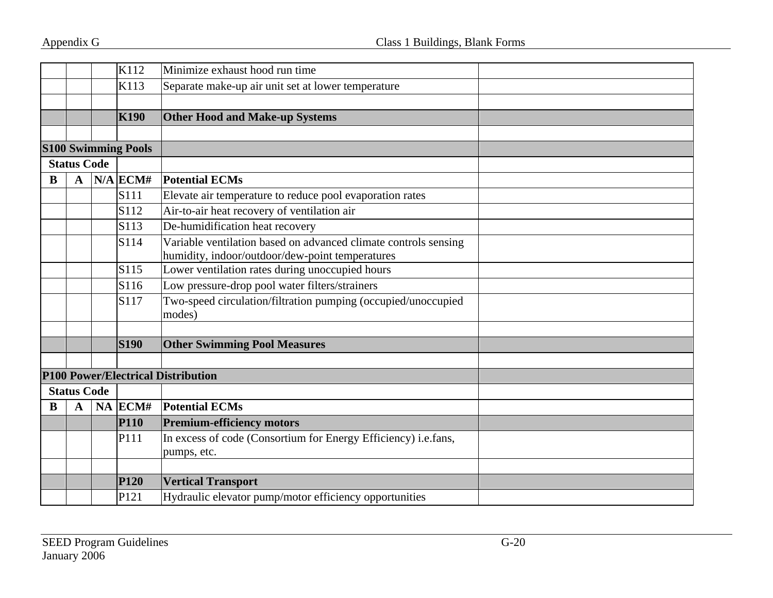|   |                    | K112                       | Minimize exhaust hood run time                                          |  |
|---|--------------------|----------------------------|-------------------------------------------------------------------------|--|
|   |                    | K113                       | Separate make-up air unit set at lower temperature                      |  |
|   |                    |                            |                                                                         |  |
|   |                    | <b>K190</b>                | <b>Other Hood and Make-up Systems</b>                                   |  |
|   |                    |                            |                                                                         |  |
|   |                    | <b>S100 Swimming Pools</b> |                                                                         |  |
|   | <b>Status Code</b> |                            |                                                                         |  |
| B | $\mathbf A$        | $N/A$ ECM#                 | <b>Potential ECMs</b>                                                   |  |
|   |                    | S111                       | Elevate air temperature to reduce pool evaporation rates                |  |
|   |                    | S112                       | Air-to-air heat recovery of ventilation air                             |  |
|   |                    | S113                       | De-humidification heat recovery                                         |  |
|   |                    | S114                       | Variable ventilation based on advanced climate controls sensing         |  |
|   |                    |                            | humidity, indoor/outdoor/dew-point temperatures                         |  |
|   |                    | S115                       | Lower ventilation rates during unoccupied hours                         |  |
|   |                    | S116                       | Low pressure-drop pool water filters/strainers                          |  |
|   |                    | S117                       | Two-speed circulation/filtration pumping (occupied/unoccupied<br>modes) |  |
|   |                    |                            |                                                                         |  |
|   |                    | <b>S190</b>                | <b>Other Swimming Pool Measures</b>                                     |  |
|   |                    |                            |                                                                         |  |
|   |                    |                            | <b>P100 Power/Electrical Distribution</b>                               |  |
|   | <b>Status Code</b> |                            |                                                                         |  |
| B | A                  | $NA$ ECM#                  | <b>Potential ECMs</b>                                                   |  |
|   |                    | <b>P110</b>                | <b>Premium-efficiency motors</b>                                        |  |
|   |                    | P111                       | In excess of code (Consortium for Energy Efficiency) i.e.fans,          |  |
|   |                    |                            | pumps, etc.                                                             |  |
|   |                    |                            |                                                                         |  |
|   |                    | <b>P120</b>                | <b>Vertical Transport</b>                                               |  |
|   |                    | P <sub>121</sub>           | Hydraulic elevator pump/motor efficiency opportunities                  |  |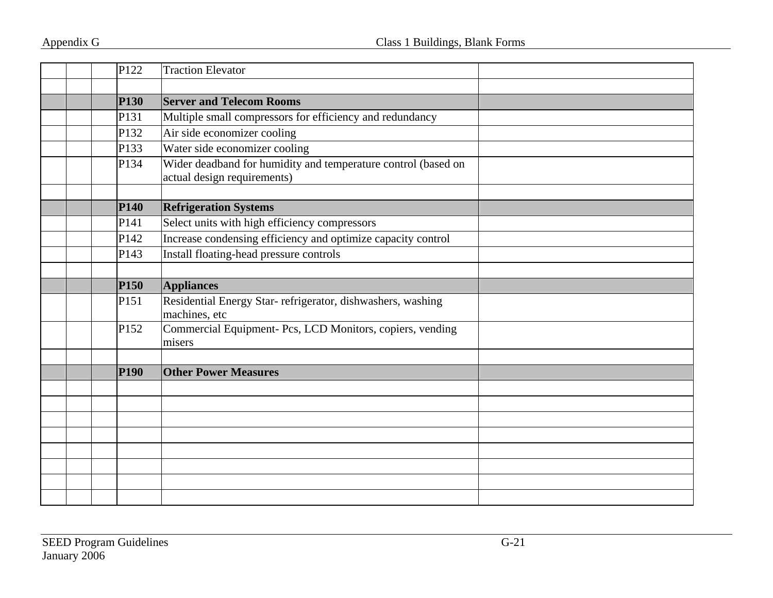|  | P122             | <b>Traction Elevator</b>                                                                     |  |
|--|------------------|----------------------------------------------------------------------------------------------|--|
|  |                  |                                                                                              |  |
|  | <b>P130</b>      | <b>Server and Telecom Rooms</b>                                                              |  |
|  | P131             | Multiple small compressors for efficiency and redundancy                                     |  |
|  | P <sub>132</sub> | Air side economizer cooling                                                                  |  |
|  | P133             | Water side economizer cooling                                                                |  |
|  | P134             | Wider deadband for humidity and temperature control (based on<br>actual design requirements) |  |
|  |                  |                                                                                              |  |
|  | <b>P140</b>      | <b>Refrigeration Systems</b>                                                                 |  |
|  | P141             | Select units with high efficiency compressors                                                |  |
|  | P142             | Increase condensing efficiency and optimize capacity control                                 |  |
|  | P143             | Install floating-head pressure controls                                                      |  |
|  |                  |                                                                                              |  |
|  | <b>P150</b>      | <b>Appliances</b>                                                                            |  |
|  | P151             | Residential Energy Star- refrigerator, dishwashers, washing<br>machines, etc                 |  |
|  | P <sub>152</sub> | Commercial Equipment- Pcs, LCD Monitors, copiers, vending<br>misers                          |  |
|  |                  |                                                                                              |  |
|  | <b>P190</b>      | <b>Other Power Measures</b>                                                                  |  |
|  |                  |                                                                                              |  |
|  |                  |                                                                                              |  |
|  |                  |                                                                                              |  |
|  |                  |                                                                                              |  |
|  |                  |                                                                                              |  |
|  |                  |                                                                                              |  |
|  |                  |                                                                                              |  |
|  |                  |                                                                                              |  |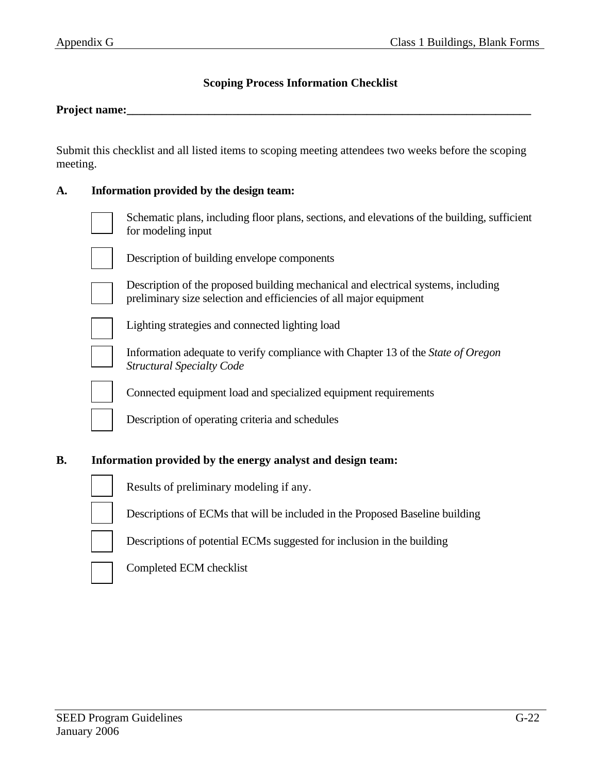### **Scoping Process Information Checklist**

#### **Project name:\_\_\_\_\_\_\_\_\_\_\_\_\_\_\_\_\_\_\_\_\_\_\_\_\_\_\_\_\_\_\_\_\_\_\_\_\_\_\_\_\_\_\_\_\_\_\_\_\_\_\_\_\_\_\_\_\_\_\_\_\_\_\_\_\_\_\_\_\_**

Submit this checklist and all listed items to scoping meeting attendees two weeks before the scoping meeting.

#### **A. Information provided by the design team:**

| Schematic plans, including floor plans, sections, and elevations of the building, sufficient<br>for modeling input |
|--------------------------------------------------------------------------------------------------------------------|
| Description of building envelope components                                                                        |

 Description of the proposed building mechanical and electrical systems, including preliminary size selection and efficiencies of all major equipment

Lighting strategies and connected lighting load



 Information adequate to verify compliance with Chapter 13 of the *State of Oregon Structural Specialty Code* 

Connected equipment load and specialized equipment requirements

Description of operating criteria and schedules

#### **B. Information provided by the energy analyst and design team:**



Results of preliminary modeling if any.

Descriptions of ECMs that will be included in the Proposed Baseline building

Descriptions of potential ECMs suggested for inclusion in the building



Completed ECM checklist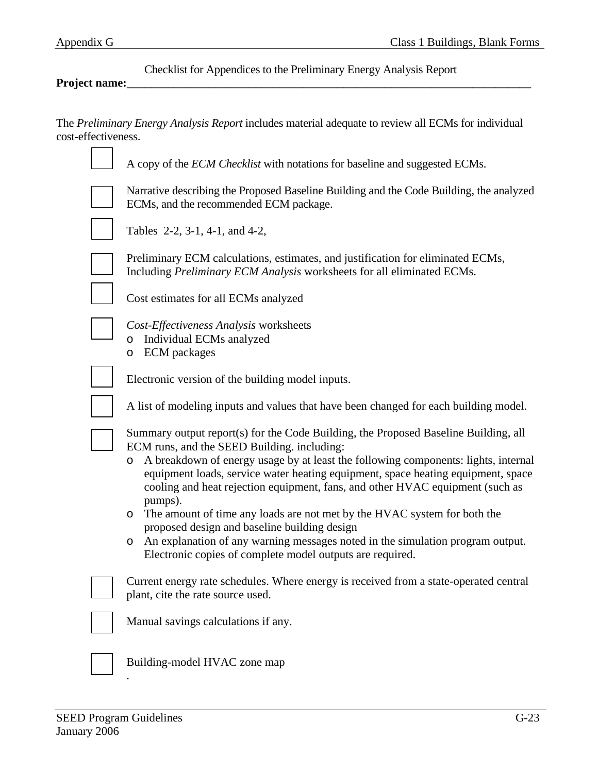Checklist for Appendices to the Preliminary Energy Analysis Report

#### **Project name:\_\_\_\_\_\_\_\_\_\_\_\_\_\_\_\_\_\_\_\_\_\_\_\_\_\_\_\_\_\_\_\_\_\_\_\_\_\_\_\_\_\_\_\_\_\_\_\_\_\_\_\_\_\_\_\_\_\_\_\_\_\_\_\_\_\_\_\_\_**

The *Preliminary Energy Analysis Report* includes material adequate to review all ECMs for individual cost-effectiveness.

| A copy of the <i>ECM Checklist</i> with notations for baseline and suggested ECMs.                                                                                                                                                                                                                                                                                                                                                                                                                                                                                                                                                                                                                             |
|----------------------------------------------------------------------------------------------------------------------------------------------------------------------------------------------------------------------------------------------------------------------------------------------------------------------------------------------------------------------------------------------------------------------------------------------------------------------------------------------------------------------------------------------------------------------------------------------------------------------------------------------------------------------------------------------------------------|
| Narrative describing the Proposed Baseline Building and the Code Building, the analyzed<br>ECMs, and the recommended ECM package.                                                                                                                                                                                                                                                                                                                                                                                                                                                                                                                                                                              |
| Tables 2-2, 3-1, 4-1, and 4-2,                                                                                                                                                                                                                                                                                                                                                                                                                                                                                                                                                                                                                                                                                 |
| Preliminary ECM calculations, estimates, and justification for eliminated ECMs,<br>Including Preliminary ECM Analysis worksheets for all eliminated ECMs.                                                                                                                                                                                                                                                                                                                                                                                                                                                                                                                                                      |
| Cost estimates for all ECMs analyzed                                                                                                                                                                                                                                                                                                                                                                                                                                                                                                                                                                                                                                                                           |
| Cost-Effectiveness Analysis worksheets<br>o Individual ECMs analyzed<br><b>ECM</b> packages<br>O                                                                                                                                                                                                                                                                                                                                                                                                                                                                                                                                                                                                               |
| Electronic version of the building model inputs.                                                                                                                                                                                                                                                                                                                                                                                                                                                                                                                                                                                                                                                               |
| A list of modeling inputs and values that have been changed for each building model.                                                                                                                                                                                                                                                                                                                                                                                                                                                                                                                                                                                                                           |
| Summary output report(s) for the Code Building, the Proposed Baseline Building, all<br>ECM runs, and the SEED Building. including:<br>A breakdown of energy usage by at least the following components: lights, internal<br>$\circ$<br>equipment loads, service water heating equipment, space heating equipment, space<br>cooling and heat rejection equipment, fans, and other HVAC equipment (such as<br>pumps).<br>The amount of time any loads are not met by the HVAC system for both the<br>O<br>proposed design and baseline building design<br>An explanation of any warning messages noted in the simulation program output.<br>$\circ$<br>Electronic copies of complete model outputs are required. |
| Current energy rate schedules. Where energy is received from a state-operated central<br>plant, cite the rate source used.                                                                                                                                                                                                                                                                                                                                                                                                                                                                                                                                                                                     |
| Manual savings calculations if any.                                                                                                                                                                                                                                                                                                                                                                                                                                                                                                                                                                                                                                                                            |
| Building-model HVAC zone map                                                                                                                                                                                                                                                                                                                                                                                                                                                                                                                                                                                                                                                                                   |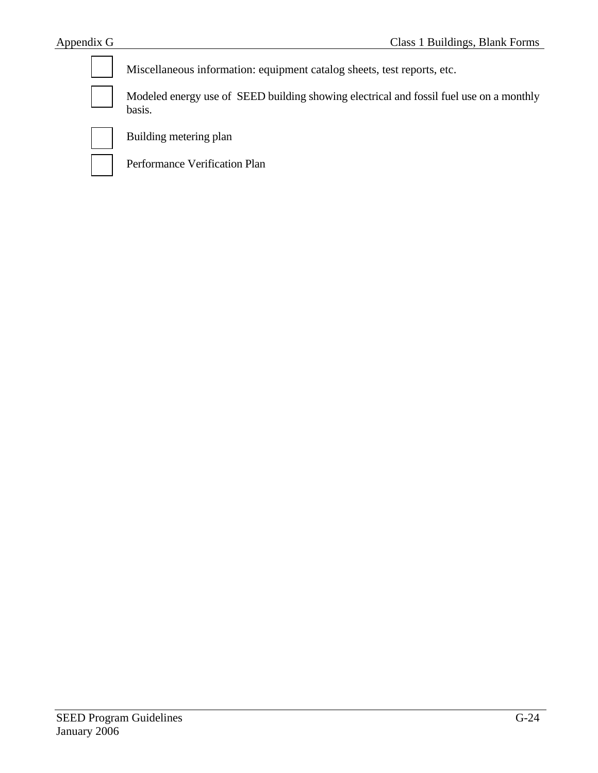| Miscellaneous information: equipment catalog sheets, test reports, etc.                           |
|---------------------------------------------------------------------------------------------------|
| Modeled energy use of SEED building showing electrical and fossil fuel use on a monthly<br>basis. |
| Building metering plan                                                                            |
| Performance Verification Plan                                                                     |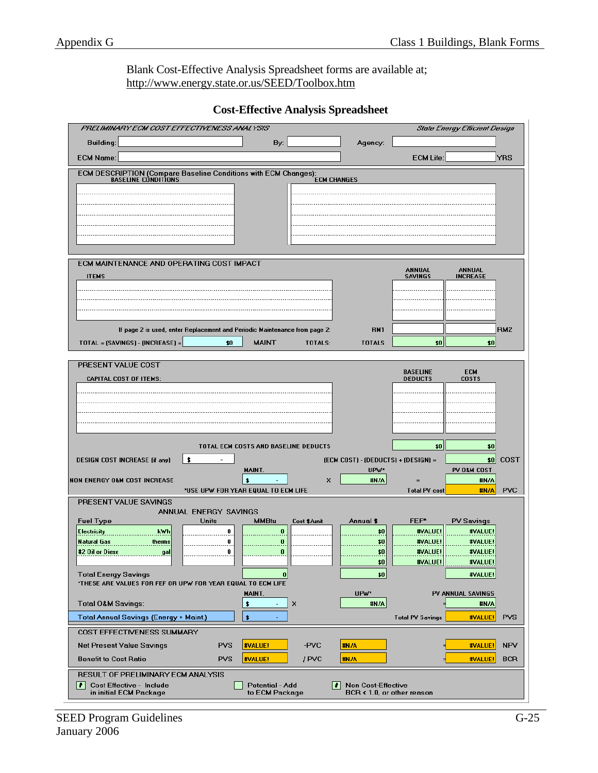Blank Cost-Effective Analysis Spreadsheet forms are available at; http://www.energy.state.or.us/SEED/Toolbox.htm

| PRELIMINARY ECM COST EFFECTIVENESS ANALYSIS                                                             |                                                         | <b>State Energy Efficient Design</b>                            |                 |
|---------------------------------------------------------------------------------------------------------|---------------------------------------------------------|-----------------------------------------------------------------|-----------------|
| <b>Building:</b><br>By:                                                                                 | Agency:                                                 |                                                                 |                 |
| <b>ECM Name:</b>                                                                                        |                                                         | <b>ECM Life:</b>                                                | <b>YRS</b>      |
| ECM DESCRIPTION (Compare Baseline Conditions with ECM Changes):                                         |                                                         |                                                                 |                 |
| <b>BASELINE CONDITIONS</b><br><b>ECM CHANGES</b>                                                        |                                                         |                                                                 |                 |
|                                                                                                         |                                                         |                                                                 |                 |
|                                                                                                         |                                                         |                                                                 |                 |
|                                                                                                         |                                                         |                                                                 |                 |
|                                                                                                         |                                                         |                                                                 |                 |
| ECM MAINTENANCE AND OPERATING COST IMPACT                                                               |                                                         |                                                                 |                 |
| <b>ITEMS</b>                                                                                            |                                                         | <b>ANNUAL</b><br>ANNUAL<br><b>SAVINGS</b><br><b>INCREASE</b>    |                 |
|                                                                                                         |                                                         |                                                                 |                 |
|                                                                                                         |                                                         |                                                                 |                 |
|                                                                                                         |                                                         |                                                                 |                 |
| If page 2 is used, enter Replacement and Periodic Maintenance from page 2:                              | <b>RM1</b>                                              |                                                                 | RM <sub>2</sub> |
| TOTAL = (SAVINGS) - (INCREASE) =<br><b>MAINT</b><br>\$0<br>TOTALS:                                      | <b>TOTALS</b>                                           | \$0<br>\$0                                                      |                 |
| PRESENT VALUE COST                                                                                      |                                                         |                                                                 |                 |
| <b>CAPITAL COST OF ITEMS:</b>                                                                           |                                                         | <b>BASELINE</b><br><b>ECM</b><br><b>DEDUCTS</b><br><b>COSTS</b> |                 |
|                                                                                                         |                                                         |                                                                 |                 |
|                                                                                                         |                                                         |                                                                 |                 |
|                                                                                                         |                                                         |                                                                 |                 |
|                                                                                                         |                                                         |                                                                 |                 |
| TOTAL ECM COSTS AND BASELINE DEDUCTS                                                                    |                                                         | \$0<br>\$0                                                      |                 |
| \$<br><b>DESIGN COST INCREASE (if any)</b>                                                              | (ECM COST) - (DEDUCTS) + (DESIGN) =                     | \$0                                                             | COST            |
| MAINT.<br><b>NON ENERGY O&amp;M COST INCREASE</b><br>\$<br>×                                            | UPW <sup>*</sup><br>#N/A                                | PV O&M COST<br>#N/A                                             |                 |
| *USE UPW FOR YEAR EQUAL TO ECM LIFE                                                                     |                                                         | <b>Total PV cost</b><br>#N/A                                    | <b>PVC</b>      |
| PRESENT VALUE SAVINGS<br>ANNUAL ENERGY SAVINGS                                                          |                                                         |                                                                 |                 |
| <b>Fuel Type</b><br><b>Units</b><br><b>MMBtu</b><br>Cost \$/unit                                        | Annual \$                                               | FEF*<br><b>PV Savings</b>                                       |                 |
| <b>Electricity</b><br>kwh<br>0<br>0<br><b>Natural Gas</b><br>therms<br>0                                | \$0                                                     | #VALUE!<br>#VALUE!<br>#VALUE!                                   |                 |
| 0                                                                                                       | \$0<br>$\frac{1}{20}$                                   | #VALUE!<br>#VALUE!<br>#VALUE!                                   |                 |
|                                                                                                         | \$0                                                     | #VALUE!<br>#VALUE!                                              |                 |
| <b>Total Energy Savings</b><br> 0                                                                       | \$0                                                     | #VALUE!                                                         |                 |
| *THESE ARE VALUES FOR FEF OR UPW FOR YEAR EQUAL TO ECM LIFE<br>MAINT.                                   | UPW*                                                    | PV ANNUAL SAVINGS                                               |                 |
| <b>Total O&amp;M Savings:</b><br>$\bullet$<br>×                                                         | #N/A                                                    | #N/A                                                            |                 |
| $\ddot{\bullet}$<br>Total Annual Savings (Energy + Maint.)                                              |                                                         | <b>Total PV Savings</b><br>#VALUE!                              | <b>PVS</b>      |
| COST EFFECTIVENESS SUMMARY                                                                              |                                                         |                                                                 |                 |
| <b>Net Present Value Savings</b><br><b>PVS</b><br>#VALUE!<br>-PVC                                       | #N/A                                                    | #VALUE!                                                         | <b>NPV</b>      |
| <b>Benefit to Cost Ratio</b><br><b>PVS</b><br>#VALUE!<br>/ PVC                                          | #N/A                                                    | #VALUE!                                                         | <b>BCR</b>      |
| RESULT OF PRELIMINARY ECM ANALYSIS                                                                      |                                                         |                                                                 |                 |
| <i>≢</i>   Cost Effective - Include<br>Potential - Add<br>H<br>in initial ECM Package<br>to ECM Package | <b>Non Cost-Effective</b><br>BCR < 1.0, or other reason |                                                                 |                 |

**Cost-Effective Analysis Spreadsheet**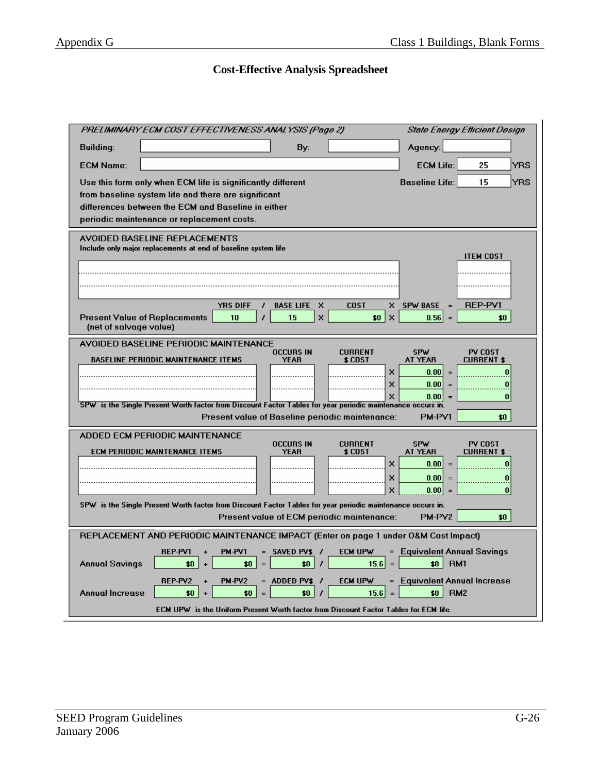### **Cost-Effective Analysis Spreadsheet**

| <b>State Energy Efficient Design</b><br>PRELIMINARY ECM COST EFFECTIVENESS ANALYSIS (Page 2)                                                                                                                                                                                                                                                                                                                                                                                |
|-----------------------------------------------------------------------------------------------------------------------------------------------------------------------------------------------------------------------------------------------------------------------------------------------------------------------------------------------------------------------------------------------------------------------------------------------------------------------------|
| Agency:<br><b>Building:</b><br>By:                                                                                                                                                                                                                                                                                                                                                                                                                                          |
| <b>ECM Life:</b><br><b>ECM Name:</b><br>25<br>YRS                                                                                                                                                                                                                                                                                                                                                                                                                           |
| <b>Baseline Life:</b><br>15<br><b>YRS</b><br>Use this form only when ECM life is significantly different<br>from baseline system life and there are significant<br>differences between the ECM and Baseline in either<br>periodic maintenance or replacement costs.                                                                                                                                                                                                         |
| AVOIDED BASELINE REPLACEMENTS<br>Include only major replacements at end of baseline system life<br><b>ITEM COST</b>                                                                                                                                                                                                                                                                                                                                                         |
| <b>REP-PV1</b><br><b>YRS DIFF</b><br><b>BASE LIFE</b><br>x<br><b>COST</b><br>x<br><b>SPW BASE</b><br>z<br>10<br>$\mathsf{x}$<br><b>Present Value of Replacements</b><br>15<br>\$0\$<br>$\boldsymbol{\mathsf{x}}$<br>0.56<br>\$0<br>$=$<br>(net of salvage value)                                                                                                                                                                                                            |
| AVOIDED BASELINE PERIODIC MAINTENANCE<br>SPW<br><b>OCCURS IN</b><br>PV COST<br><b>CURRENT</b><br><b>BASELINE PERIODIC MAINTENANCE ITEMS</b><br><b>YEAR</b><br>\$ COST<br><b>AT YEAR</b><br><b>CURRENT \$</b><br>×<br>0.00 <br>n<br>$=$<br>×<br>0.00<br>0<br>×<br>$0.001 =$<br>$\bf{0}$<br>SPW is the Single Present Worth factor from Discount Factor Tables for year periodic maintenance occurs in.<br>Present value of Baseline periodic maintenance:<br>PM-PV1<br>\$0\$ |
| ADDED ECM PERIODIC MAINTENANCE<br><b>OCCURS IN</b><br>SPW<br><b>CURRENT</b><br>PV COST<br>ECM PERIODIC MAINTENANCE ITEMS<br>YEAR<br>\$ COST<br>AT YEAR<br><b>CURRENT \$</b><br>0.00 <br>×<br>0<br>$\equiv$<br>0.00<br>×<br>0<br>$\equiv$<br>×<br>0.00 <br>$\bf{0}$<br>SPW is the Single Present Worth factor from Discount Factor Tables for year periodic maintenance occurs in.<br>\$0<br>Present value of ECM periodic maintenance:<br>PM-PV <sub>2</sub>                |
| REPLACEMENT AND PERIODIC MAINTENANCE IMPACT (Enter on page 1 under O&M Cost Impact)                                                                                                                                                                                                                                                                                                                                                                                         |
| <b>Equivalent Annual Savings</b><br>SAVED PV\$ /<br>ecm upw<br>REP-PV1<br>PM-PV1<br>$=$<br><b>Annual Savings</b><br>\$0<br>RM <sub>1</sub><br>\$0<br>\$0<br>15.6<br>$$0$  <br>,<br>$=$<br>$=$<br>REP-PV2<br>ADDED PV\$ /<br>ECM UPW<br><b>Equivalent Annual Increase</b><br>PM-PV2<br>$=$<br>$=$                                                                                                                                                                            |
| RM <sub>2</sub><br><b>Annual Increase</b><br>15.6<br>\$0<br>\$0<br>\$0<br>\$0<br>ECM UPW is the Uniform Present Worth factor from Discount Factor Tables for ECM life.                                                                                                                                                                                                                                                                                                      |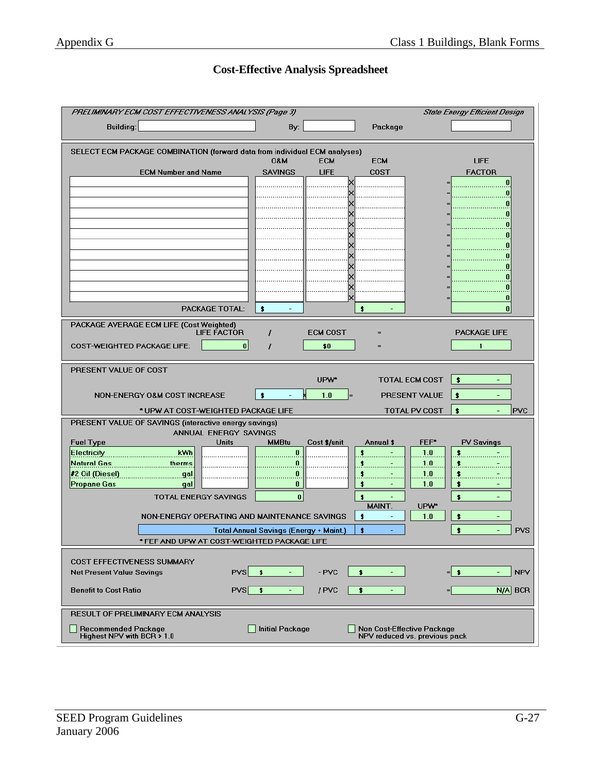#### **Cost-Effective Analysis Spreadsheet**

|                                                                                           | PRELIMINARY ECM COST EFFECTIVENESS ANALYSIS (Page 3) |                                    | <b>State Energy Efficient Design</b> |  |  |  |  |
|-------------------------------------------------------------------------------------------|------------------------------------------------------|------------------------------------|--------------------------------------|--|--|--|--|
| <b>Building:</b>                                                                          | By:                                                  | Package                            |                                      |  |  |  |  |
| SELECT ECM PACKAGE COMBINATION (forward data from individual ECM analyses)                |                                                      |                                    |                                      |  |  |  |  |
|                                                                                           | <b>M80</b><br><b>ECM</b>                             | <b>ECM</b>                         | <b>LIFE</b>                          |  |  |  |  |
| <b>ECM Number and Name</b>                                                                | <b>SAVINGS</b><br>LIFE                               | COST                               | <b>FACTOR</b>                        |  |  |  |  |
|                                                                                           |                                                      |                                    |                                      |  |  |  |  |
|                                                                                           |                                                      |                                    | 0                                    |  |  |  |  |
|                                                                                           |                                                      |                                    | n                                    |  |  |  |  |
|                                                                                           |                                                      |                                    |                                      |  |  |  |  |
|                                                                                           |                                                      |                                    |                                      |  |  |  |  |
|                                                                                           |                                                      |                                    | 0                                    |  |  |  |  |
|                                                                                           |                                                      |                                    |                                      |  |  |  |  |
|                                                                                           |                                                      |                                    |                                      |  |  |  |  |
|                                                                                           |                                                      |                                    |                                      |  |  |  |  |
|                                                                                           |                                                      |                                    | Ω<br>0                               |  |  |  |  |
| PACKAGE TOTAL:                                                                            | $\cdot$                                              | $\bullet$                          | $\mathbf{0}$                         |  |  |  |  |
|                                                                                           |                                                      |                                    |                                      |  |  |  |  |
| PACKAGE AVERAGE ECM LIFE (Cost Weighted)<br><b>LIFE FACTOR</b>                            | <b>ECM COST</b><br>1                                 |                                    | <b>PACKAGE LIFE</b>                  |  |  |  |  |
| 0 <br><b>COST-WEIGHTED PACKAGE LIFE:</b>                                                  | \$0                                                  |                                    | $\mathbf{1}$                         |  |  |  |  |
|                                                                                           |                                                      |                                    |                                      |  |  |  |  |
| PRESENT VALUE OF COST                                                                     |                                                      |                                    |                                      |  |  |  |  |
|                                                                                           | UPW*                                                 | <b>TOTAL ECM COST</b>              | l s                                  |  |  |  |  |
| NON-ENERGY O&M COST INCREASE                                                              | $\bullet$<br>1.0                                     | PRESENT VALUE                      | ∣\$<br>$\overline{\phantom{0}}$      |  |  |  |  |
| * UPW AT COST-WEIGHTED PACKAGE LIFE                                                       |                                                      | <b>TOTAL PV COST</b>               | $\bullet$<br><b>PVC</b>              |  |  |  |  |
| PRESENT VALUE OF SAVINGS (interactive energy savings)                                     |                                                      |                                    |                                      |  |  |  |  |
| ANNUAL ENERGY SAVINGS                                                                     |                                                      |                                    |                                      |  |  |  |  |
| <b>Units</b><br><b>Fuel Type</b>                                                          | <b>MMBtu</b><br>Cost \$/unit                         | FEF*<br>Annual \$                  | <b>PV Savings</b>                    |  |  |  |  |
| kWh<br><b>Electricity</b>                                                                 | $\bf{0}$                                             | $\bullet$<br>1.0                   | \$                                   |  |  |  |  |
| <b>Natural Gas</b><br>therms                                                              | 0                                                    | 1.0<br>\$                          | \$                                   |  |  |  |  |
| #2 Oil (Diesel)<br>gal<br><b>Propane Gas</b><br>gal                                       | 0<br>0                                               | 1.0<br>\$<br>\$<br>1.0             | \$<br>$\bullet$                      |  |  |  |  |
| TOTAL ENERGY SAVINGS                                                                      | $\bf{0}$                                             | \$                                 | \$                                   |  |  |  |  |
|                                                                                           |                                                      | MAINT.<br>UPW*                     |                                      |  |  |  |  |
| NON-ENERGY OPERATING AND MAINTENANCE SAVINGS                                              |                                                      | $\bullet$<br>1.0<br>$\blacksquare$ | $\ddot{\bullet}$<br>$\equiv$         |  |  |  |  |
|                                                                                           | <b>Total Annual Savings (Energy + Maint.)</b>        | $\bullet$                          | $\bullet$<br><b>PVS</b><br>$\equiv$  |  |  |  |  |
| * FEF AND UPW AT COST-WEIGHTED PACKAGE LIFE                                               |                                                      |                                    |                                      |  |  |  |  |
|                                                                                           |                                                      |                                    |                                      |  |  |  |  |
| <b>COST EFFECTIVENESS SUMMARY</b><br>$PVS$ $\uparrow$<br><b>Net Present Value Savings</b> | $-$ PVC<br>$\equiv$                                  | $\bullet$                          | -∣\$<br><b>NPV</b><br>$\equiv$       |  |  |  |  |
|                                                                                           |                                                      |                                    |                                      |  |  |  |  |
| $PVS$ \$<br><b>Benefit to Cost Ratio</b>                                                  | / PVC                                                | \$                                 | $N/A$ BCR<br>$=$                     |  |  |  |  |
| <b>RESULT OF PRELIMINARY ECM ANALYSIS</b>                                                 |                                                      |                                    |                                      |  |  |  |  |
| <b>Initial Package</b><br>Recommended Package<br>Non Cost-Effective Package               |                                                      |                                    |                                      |  |  |  |  |
| Highest NPV with BCR > 1.0<br>NPV reduced vs. previous pack                               |                                                      |                                    |                                      |  |  |  |  |

 $\overline{a}$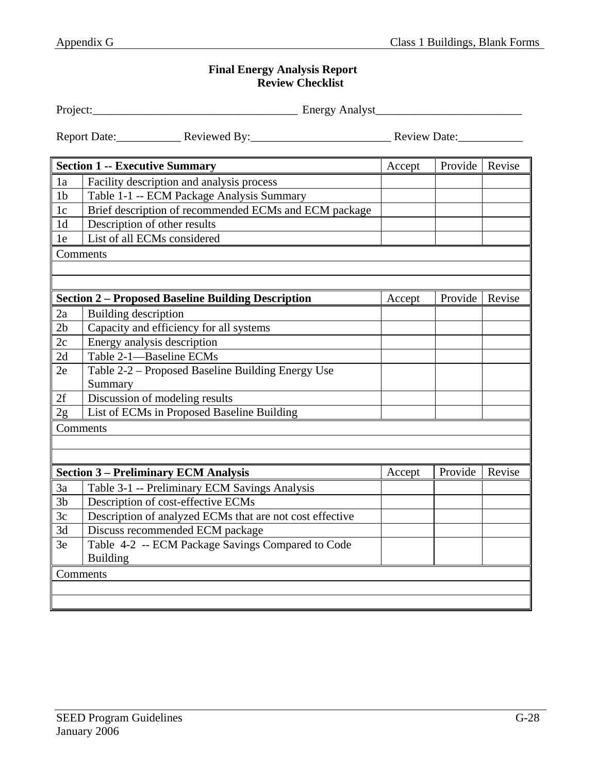### **Final Energy Analysis Report Review Checklist**

| Project:       | Energy Analyst                                            |        |         |        |
|----------------|-----------------------------------------------------------|--------|---------|--------|
|                | Report Date: Reviewed By: Reviewed By: Review Date:       |        |         |        |
|                | <b>Section 1 -- Executive Summary</b>                     | Accept | Provide | Revise |
| 1a             | Facility description and analysis process                 |        |         |        |
| 1 <sub>b</sub> | Table 1-1 -- ECM Package Analysis Summary                 |        |         |        |
| 1 <sub>c</sub> | Brief description of recommended ECMs and ECM package     |        |         |        |
| 1 <sub>d</sub> | Description of other results                              |        |         |        |
| 1e             | List of all ECMs considered                               |        |         |        |
|                | Comments                                                  |        |         |        |
|                |                                                           |        |         |        |
|                |                                                           |        |         |        |
|                | <b>Section 2 - Proposed Baseline Building Description</b> | Accept | Provide | Revise |
| 2a             | Building description                                      |        |         |        |
| 2 <sub>b</sub> | Capacity and efficiency for all systems                   |        |         |        |
| 2c             | Energy analysis description                               |        |         |        |
| 2d             | Table 2-1-Baseline ECMs                                   |        |         |        |
| 2e             | Table 2-2 – Proposed Baseline Building Energy Use         |        |         |        |
|                | Summary                                                   |        |         |        |
| 2f             | Discussion of modeling results                            |        |         |        |
| 2g             | List of ECMs in Proposed Baseline Building                |        |         |        |
|                | Comments                                                  |        |         |        |
|                |                                                           |        |         |        |
|                |                                                           |        |         |        |
|                | <b>Section 3 - Preliminary ECM Analysis</b>               | Accept | Provide | Revise |
| 3a             | Table 3-1 -- Preliminary ECM Savings Analysis             |        |         |        |
| 3 <sub>b</sub> | Description of cost-effective ECMs                        |        |         |        |
| 3c             | Description of analyzed ECMs that are not cost effective  |        |         |        |
| 3d             | Discuss recommended ECM package                           |        |         |        |
| 3e             | Table 4-2 -- ECM Package Savings Compared to Code         |        |         |        |
|                | <b>Building</b>                                           |        |         |        |
|                | Comments                                                  |        |         |        |
|                |                                                           |        |         |        |
|                |                                                           |        |         |        |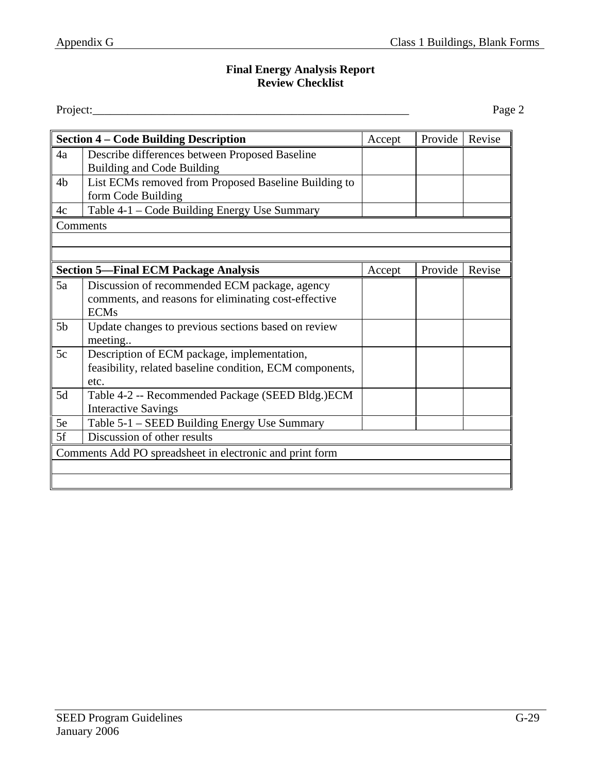### **Final Energy Analysis Report Review Checklist**

Project: Project: Project:

| <b>Section 4 – Code Building Description</b>             |                                                          | Accept | Provide | Revise |  |
|----------------------------------------------------------|----------------------------------------------------------|--------|---------|--------|--|
| 4a                                                       | Describe differences between Proposed Baseline           |        |         |        |  |
|                                                          | <b>Building and Code Building</b>                        |        |         |        |  |
| 4 <sub>b</sub>                                           | List ECMs removed from Proposed Baseline Building to     |        |         |        |  |
|                                                          | form Code Building                                       |        |         |        |  |
| 4c                                                       | Table 4-1 – Code Building Energy Use Summary             |        |         |        |  |
|                                                          | Comments                                                 |        |         |        |  |
|                                                          |                                                          |        |         |        |  |
|                                                          |                                                          |        |         |        |  |
|                                                          | <b>Section 5—Final ECM Package Analysis</b>              | Accept | Provide | Revise |  |
| 5a                                                       | Discussion of recommended ECM package, agency            |        |         |        |  |
|                                                          | comments, and reasons for eliminating cost-effective     |        |         |        |  |
|                                                          | <b>ECMs</b>                                              |        |         |        |  |
| 5 <sub>b</sub>                                           | Update changes to previous sections based on review      |        |         |        |  |
|                                                          | meeting                                                  |        |         |        |  |
| 5c                                                       | Description of ECM package, implementation,              |        |         |        |  |
|                                                          | feasibility, related baseline condition, ECM components, |        |         |        |  |
|                                                          | etc.                                                     |        |         |        |  |
| 5d                                                       | Table 4-2 -- Recommended Package (SEED Bldg.) ECM        |        |         |        |  |
|                                                          | <b>Interactive Savings</b>                               |        |         |        |  |
| 5e                                                       | Table 5-1 - SEED Building Energy Use Summary             |        |         |        |  |
| 5f                                                       | Discussion of other results                              |        |         |        |  |
| Comments Add PO spreadsheet in electronic and print form |                                                          |        |         |        |  |
|                                                          |                                                          |        |         |        |  |
|                                                          |                                                          |        |         |        |  |